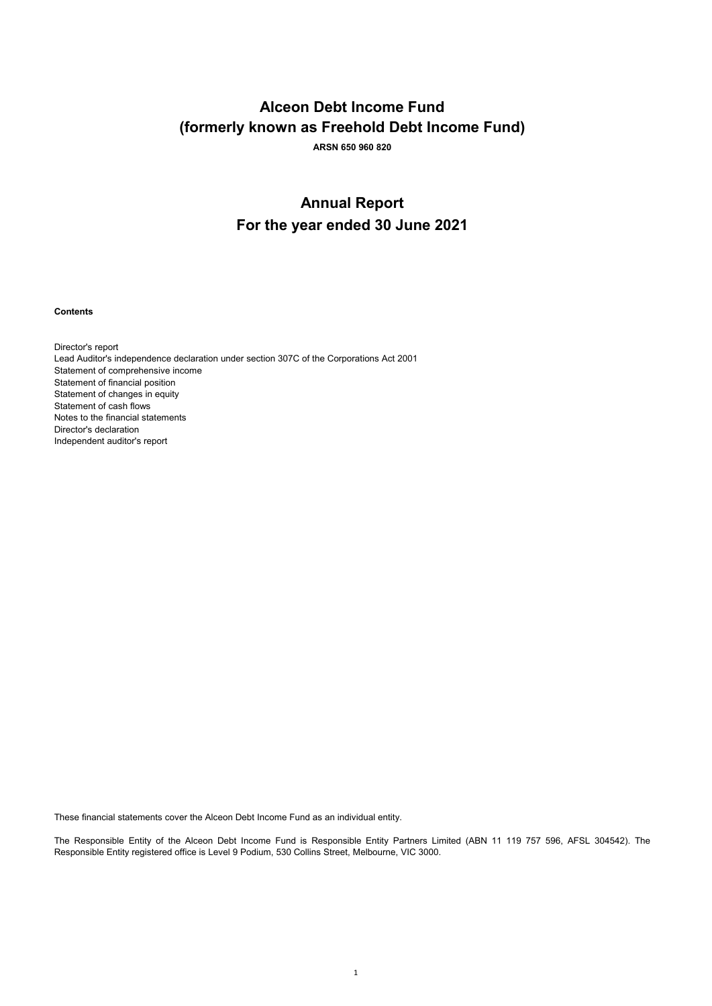## **Alceon Debt Income Fund (formerly known as Freehold Debt Income Fund) ARSN 650 960 820**

## **Annual Report For the year ended 30 June 2021**

### **Contents**

Director's report Lead Auditor's independence declaration under section 307C of the Corporations Act 2001 Statement of comprehensive income Statement of financial position Statement of changes in equity Statement of cash flows Notes to the financial statements Director's declaration Independent auditor's report

These financial statements cover the Alceon Debt Income Fund as an individual entity.

The Responsible Entity of the Alceon Debt Income Fund is Responsible Entity Partners Limited (ABN 11 119 757 596, AFSL 304542). The Responsible Entity registered office is Level 9 Podium, 530 Collins Street, Melbourne, VIC 3000.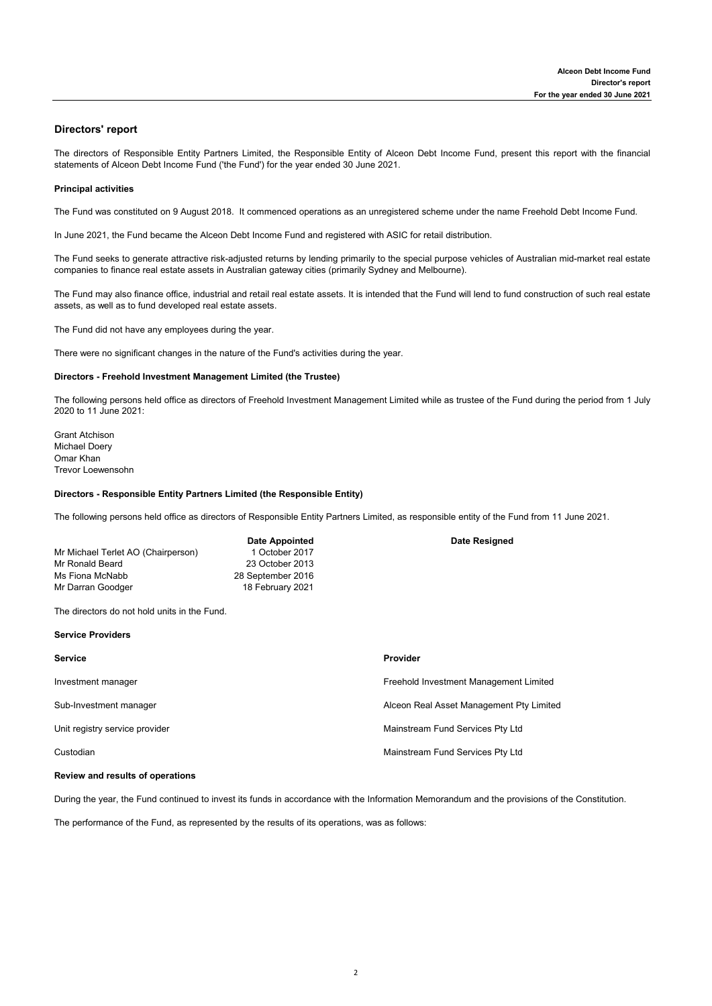### **Directors' report**

The directors of Responsible Entity Partners Limited, the Responsible Entity of Alceon Debt Income Fund, present this report with the financial statements of Alceon Debt Income Fund ('the Fund') for the year ended 30 June 2021.

### **Principal activities**

The Fund was constituted on 9 August 2018. It commenced operations as an unregistered scheme under the name Freehold Debt Income Fund.

In June 2021, the Fund became the Alceon Debt Income Fund and registered with ASIC for retail distribution.

The Fund seeks to generate attractive risk-adjusted returns by lending primarily to the special purpose vehicles of Australian mid-market real estate companies to finance real estate assets in Australian gateway cities (primarily Sydney and Melbourne).

The Fund may also finance office, industrial and retail real estate assets. It is intended that the Fund will lend to fund construction of such real estate assets, as well as to fund developed real estate assets.

The Fund did not have any employees during the year.

There were no significant changes in the nature of the Fund's activities during the year.

### **Directors - Freehold Investment Management Limited (the Trustee)**

The following persons held office as directors of Freehold Investment Management Limited while as trustee of the Fund during the period from 1 July 2020 to 11 June 2021:

Grant Atchison Michael Doery Omar Khan Trevor Loewensohn

### **Directors - Responsible Entity Partners Limited (the Responsible Entity)**

The following persons held office as directors of Responsible Entity Partners Limited, as responsible entity of the Fund from 11 June 2021.

| Mr Michael Terlet AO (Chairperson)<br>Mr Ronald Beard<br>Ms Fiona McNabb<br>Mr Darran Goodger<br>The directors do not hold units in the Fund.<br><b>Service Providers</b> | <b>Date Appointed</b><br>1 October 2017<br>23 October 2013<br>28 September 2016<br>18 February 2021 | Date Resigned                            |
|---------------------------------------------------------------------------------------------------------------------------------------------------------------------------|-----------------------------------------------------------------------------------------------------|------------------------------------------|
|                                                                                                                                                                           |                                                                                                     |                                          |
| <b>Service</b>                                                                                                                                                            |                                                                                                     | Provider                                 |
| Investment manager                                                                                                                                                        |                                                                                                     | Freehold Investment Management Limited   |
| Sub-Investment manager                                                                                                                                                    |                                                                                                     | Alceon Real Asset Management Pty Limited |
| Unit registry service provider                                                                                                                                            |                                                                                                     | Mainstream Fund Services Pty Ltd         |
| Custodian                                                                                                                                                                 |                                                                                                     | Mainstream Fund Services Pty Ltd         |

### **Review and results of operations**

During the year, the Fund continued to invest its funds in accordance with the Information Memorandum and the provisions of the Constitution.

The performance of the Fund, as represented by the results of its operations, was as follows: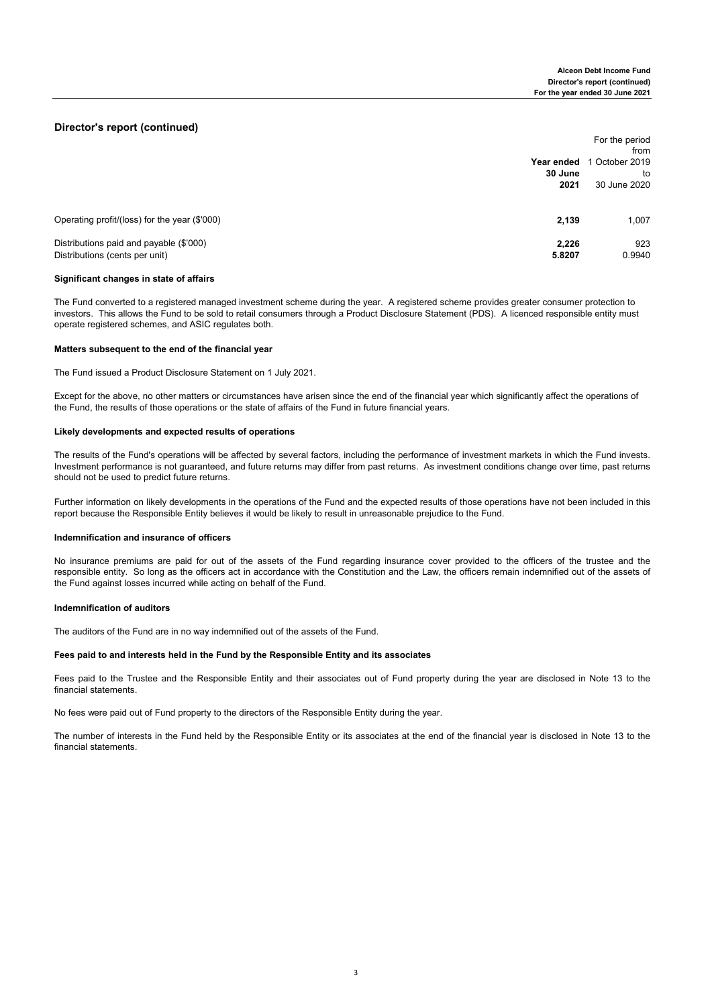### **Director's report (continued)**

|                                                                           | Year ended      | For the period<br>from<br>1 October 2019 |
|---------------------------------------------------------------------------|-----------------|------------------------------------------|
|                                                                           | 30 June<br>2021 | to<br>30 June 2020                       |
| Operating profit/(loss) for the year (\$'000)                             | 2,139           | 1,007                                    |
| Distributions paid and payable (\$'000)<br>Distributions (cents per unit) | 2.226<br>5.8207 | 923<br>0.9940                            |

### **Significant changes in state of affairs**

The Fund converted to a registered managed investment scheme during the year. A registered scheme provides greater consumer protection to investors. This allows the Fund to be sold to retail consumers through a Product Disclosure Statement (PDS). A licenced responsible entity must operate registered schemes, and ASIC regulates both.

### **Matters subsequent to the end of the financial year**

The Fund issued a Product Disclosure Statement on 1 July 2021.

Except for the above, no other matters or circumstances have arisen since the end of the financial year which significantly affect the operations of the Fund, the results of those operations or the state of affairs of the Fund in future financial years.

### **Likely developments and expected results of operations**

The results of the Fund's operations will be affected by several factors, including the performance of investment markets in which the Fund invests. Investment performance is not guaranteed, and future returns may differ from past returns. As investment conditions change over time, past returns should not be used to predict future returns.

Further information on likely developments in the operations of the Fund and the expected results of those operations have not been included in this report because the Responsible Entity believes it would be likely to result in unreasonable prejudice to the Fund.

### **Indemnification and insurance of officers**

No insurance premiums are paid for out of the assets of the Fund regarding insurance cover provided to the officers of the trustee and the responsible entity. So long as the officers act in accordance with the Constitution and the Law, the officers remain indemnified out of the assets of the Fund against losses incurred while acting on behalf of the Fund.

### **Indemnification of auditors**

The auditors of the Fund are in no way indemnified out of the assets of the Fund.

### **Fees paid to and interests held in the Fund by the Responsible Entity and its associates**

Fees paid to the Trustee and the Responsible Entity and their associates out of Fund property during the year are disclosed in Note 13 to the financial statements.

No fees were paid out of Fund property to the directors of the Responsible Entity during the year.

The number of interests in the Fund held by the Responsible Entity or its associates at the end of the financial year is disclosed in Note 13 to the financial statements.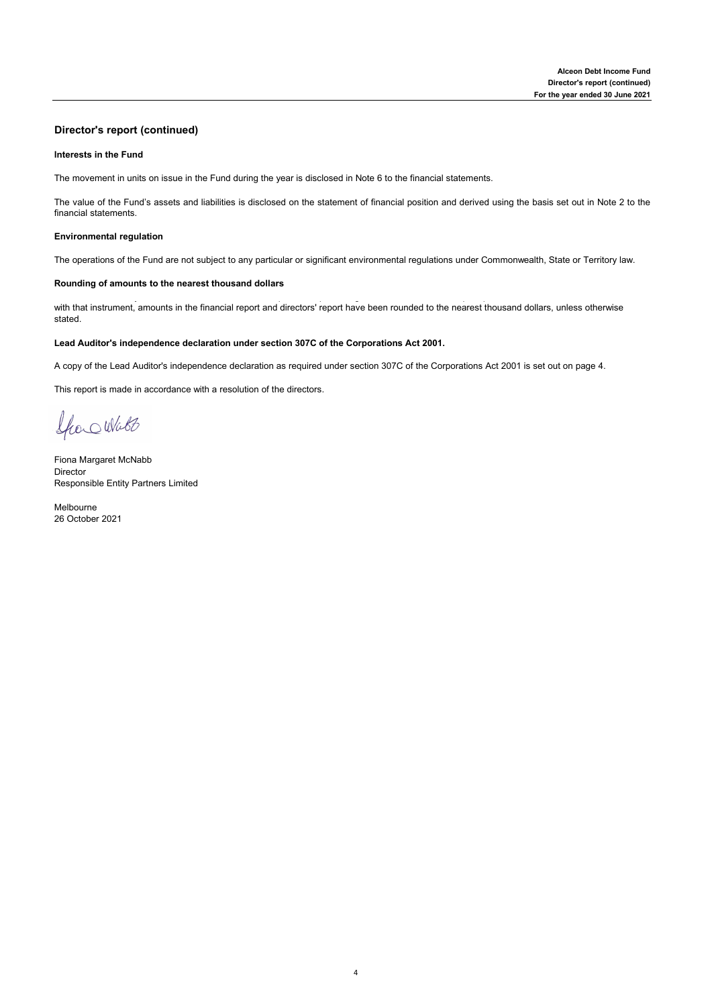### **Director's report (continued)**

### **lnterests in the Fund**

The movement in units on issue in the Fund during the year is disclosed in Note 6 to the financial statements.

The value of the Fund's assets and liabilities is disclosed on the statement of financial position and derived using the basis set out in Note 2 to the financial statements.

### **Environmental regulation**

The operations of the Fund are not subject to any particular or significant environmental regulations under Commonwealth, State or Territory law.

### **Rounding of amounts to the nearest thousand dollars**

The Fund is an entity of the kind referred to in ASIC Corporations (Rounding in Financial/Directors' Reports) Instrument 2016/191. In accordance with that instrument, amounts in the financial report and directors' report have been rounded to the nearest thousand dollars, unless otherwise stated.

### **Lead Auditor's independence declaration under section 307C of the Corporations Act 2001.**

A copy of the Lead Auditor's independence declaration as required under section 307C of the Corporations Act 2001 is set out on page 4.

This report is made in accordance with a resolution of the directors.

Space Watt

Fiona Margaret McNabb Director Responsible Entity Partners Limited

Melbourne 26 October 2021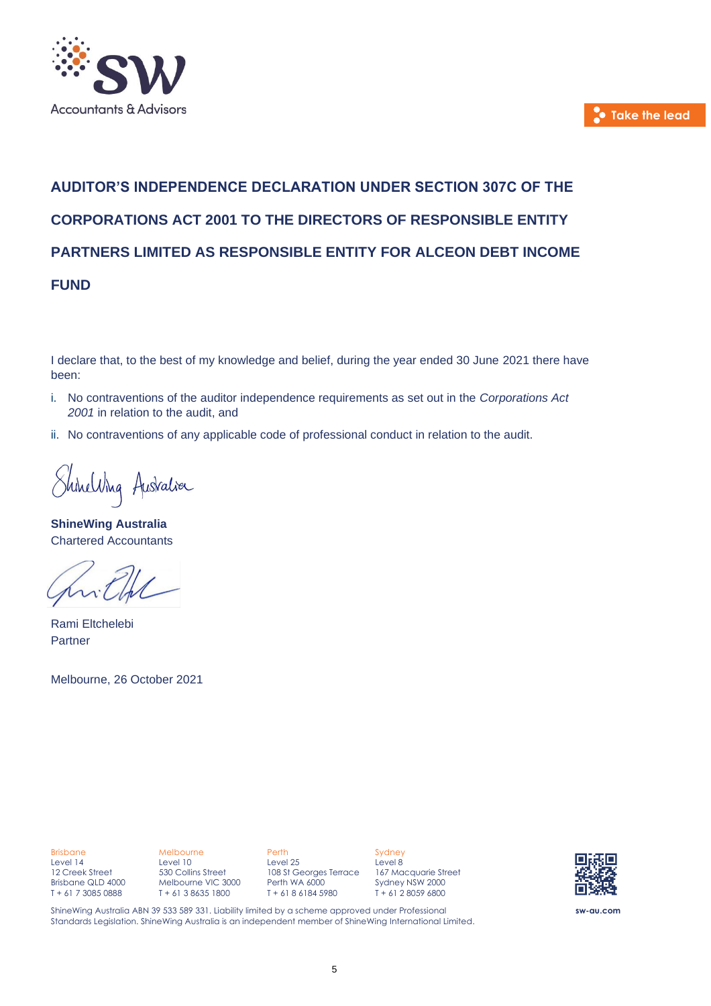



# **AUDITOR'S INDEPENDENCE DECLARATION UNDER SECTION 307C OF THE CORPORATIONS ACT 2001 TO THE DIRECTORS OF RESPONSIBLE ENTITY PARTNERS LIMITED AS RESPONSIBLE ENTITY FOR ALCEON DEBT INCOME FUND**

I declare that, to the best of my knowledge and belief, during the year ended 30 June 2021 there have been:

- i. No contraventions of the auditor independence requirements as set out in the *Corporations Act 2001* in relation to the audit, and
- ii. No contraventions of any applicable code of professional conduct in relation to the audit.

hineWing Australier

**ShineWing Australia** Chartered Accountants

Rami Eltchelebi Partner

Melbourne, 26 October 2021

Brisbane Level 14 12 Creek Street Brisbane QLD 4000 T + 61 7 3085 0888

Melbourne Level 10 530 Collins Street Melbourne VIC 3000 T + 61 3 8635 1800

Perth Level 25 108 St Georges Terrace Perth WA 6000 T + 61 8 6184 5980

Sydney Level 8 167 Macquarie Street Sydney NSW 2000 T + 61 2 8059 6800



ShineWing Australia ABN 39 533 589 331. Liability limited by a scheme approved under Professional Standards Legislation. ShineWing Australia is an independent member of ShineWing International Limited. **sw-au.com**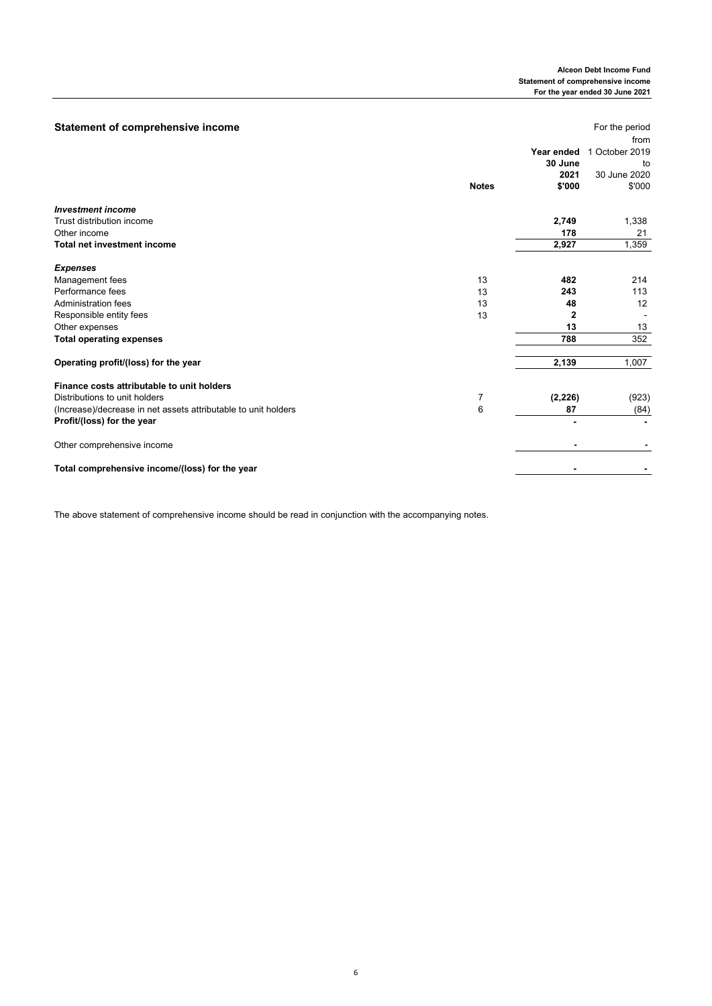| Statement of comprehensive income                              |                |              | For the period |
|----------------------------------------------------------------|----------------|--------------|----------------|
|                                                                |                |              | from           |
|                                                                |                | Year ended   | 1 October 2019 |
|                                                                |                | 30 June      | to             |
|                                                                |                | 2021         | 30 June 2020   |
|                                                                | <b>Notes</b>   | \$'000       | \$'000         |
| <b>Investment income</b>                                       |                |              |                |
| Trust distribution income                                      |                | 2,749        | 1,338          |
| Other income                                                   |                | 178          | 21             |
| Total net investment income                                    |                | 2,927        | 1,359          |
| <b>Expenses</b>                                                |                |              |                |
| Management fees                                                | 13             | 482          | 214            |
| Performance fees                                               | 13             | 243          | 113            |
| Administration fees                                            | 13             | 48           | 12             |
| Responsible entity fees                                        | 13             | $\mathbf{2}$ |                |
| Other expenses                                                 |                | 13           | 13             |
| <b>Total operating expenses</b>                                |                | 788          | 352            |
| Operating profit/(loss) for the year                           |                | 2,139        | 1,007          |
|                                                                |                |              |                |
| Finance costs attributable to unit holders                     |                |              |                |
| Distributions to unit holders                                  | $\overline{7}$ | (2, 226)     | (923)          |
| (Increase)/decrease in net assets attributable to unit holders | 6              | 87           | (84)           |
| Profit/(loss) for the year                                     |                |              |                |
| Other comprehensive income                                     |                |              |                |
| Total comprehensive income/(loss) for the year                 |                |              |                |

The above statement of comprehensive income should be read in conjunction with the accompanying notes.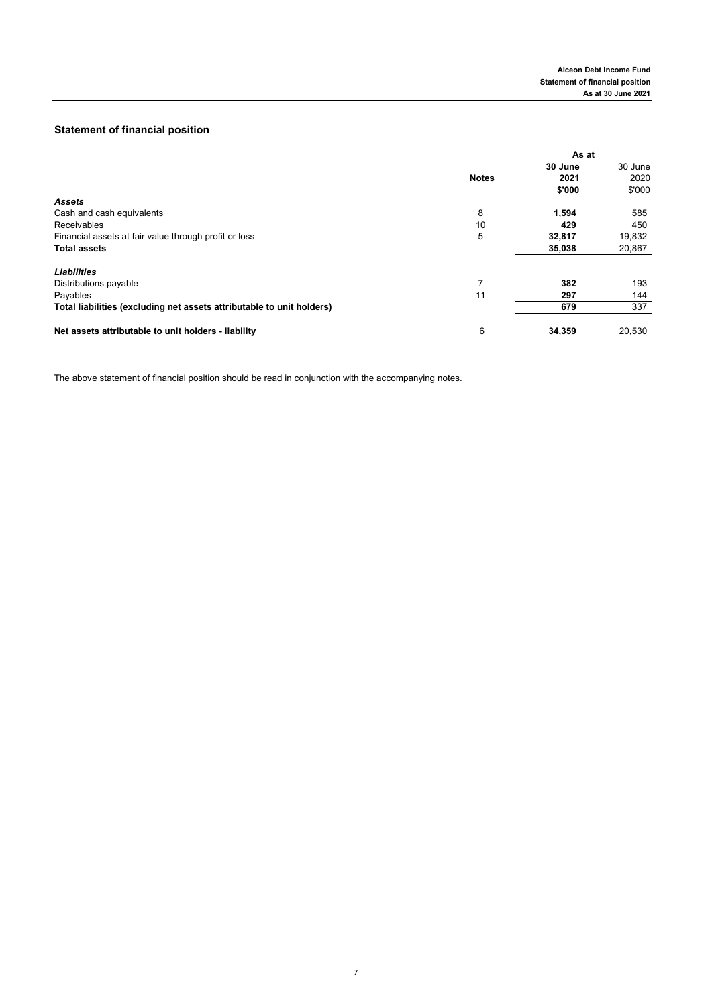## **Statement of financial position**

|              | As at                     |                           |
|--------------|---------------------------|---------------------------|
| <b>Notes</b> | 30 June<br>2021<br>\$'000 | 30 June<br>2020<br>\$'000 |
|              |                           |                           |
| 8            | 1,594                     | 585                       |
| 10           | 429                       | 450                       |
| 5            | 32,817                    | 19,832                    |
|              | 35,038                    | 20,867                    |
|              |                           |                           |
|              | 382                       | 193                       |
| 11           | 297                       | 144                       |
|              | 679                       | 337                       |
| 6            | 34,359                    | 20,530                    |
|              |                           |                           |

The above statement of financial position should be read in conjunction with the accompanying notes.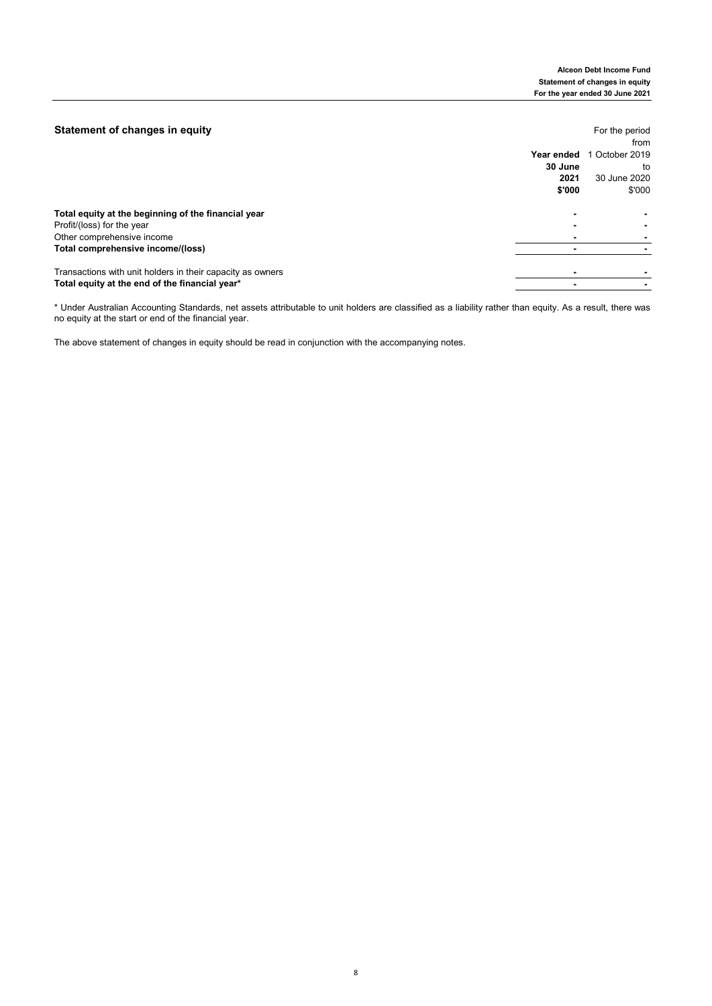### **Statement of changes in equity For the period For the period For the period** from **Year ended** 1 October 2019 **30 June** to **2021** 30 June 2020 **2021** 30 June 2020 **\$'000** \$'000 **Total equity at the beginning of the financial year - -**  Profit/(loss) for the year **- -**  Other comprehensive income **- -**  Total comprehensive income/(loss) and the state of the state of the state of the state of the state of the state of the state of the state of the state of the state of the state of the state of the state of the state of th Transactions with unit holders in their capacity as owners **- - Total equity at the end of the financial year\* - -**

\* Under Australian Accounting Standards, net assets attributable to unit holders are classified as a liability rather than equity. As a result, there was no equity at the start or end of the financial year.

The above statement of changes in equity should be read in conjunction with the accompanying notes.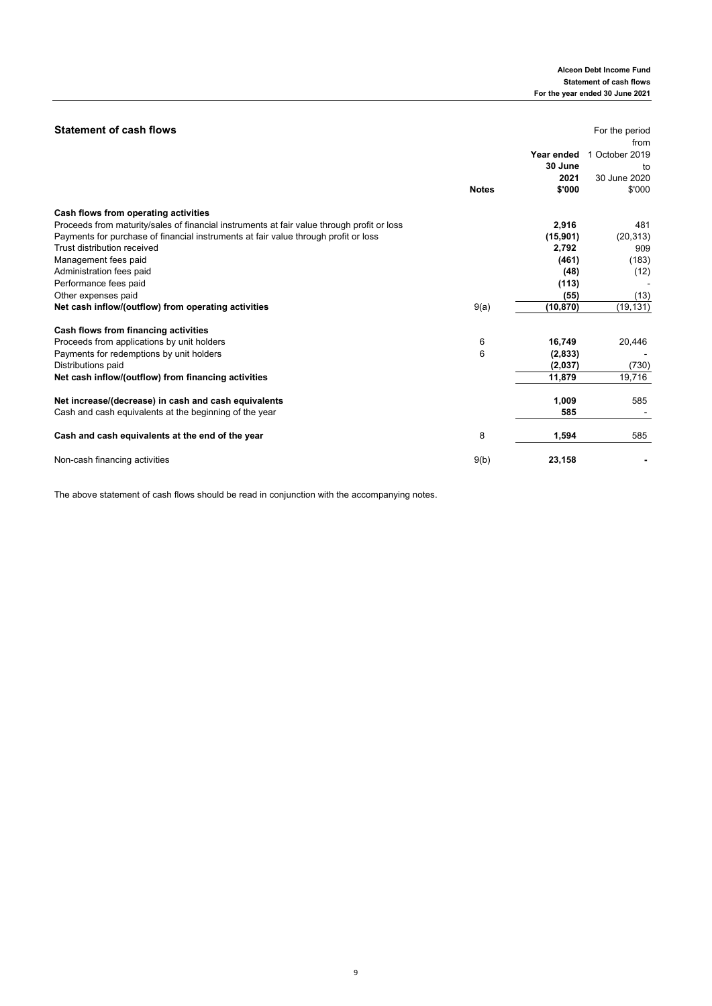| <b>Statement of cash flows</b>                                                             |              |                                         | For the period                                       |
|--------------------------------------------------------------------------------------------|--------------|-----------------------------------------|------------------------------------------------------|
|                                                                                            | <b>Notes</b> | Year ended<br>30 June<br>2021<br>\$'000 | from<br>October 2019<br>to<br>30 June 2020<br>\$'000 |
| Cash flows from operating activities                                                       |              |                                         |                                                      |
| Proceeds from maturity/sales of financial instruments at fair value through profit or loss |              | 2,916                                   | 481                                                  |
| Payments for purchase of financial instruments at fair value through profit or loss        |              | (15,901)                                | (20, 313)                                            |
| Trust distribution received                                                                |              | 2,792                                   | 909                                                  |
| Management fees paid                                                                       |              | (461)                                   | (183)                                                |
| Administration fees paid                                                                   |              | (48)                                    | (12)                                                 |
| Performance fees paid                                                                      |              | (113)                                   |                                                      |
| Other expenses paid                                                                        |              | (55)                                    | (13)                                                 |
| Net cash inflow/(outflow) from operating activities                                        | 9(a)         | (10, 870)                               | (19, 131)                                            |
| Cash flows from financing activities                                                       |              |                                         |                                                      |
| Proceeds from applications by unit holders                                                 | 6            | 16,749                                  | 20,446                                               |
| Payments for redemptions by unit holders                                                   | 6            | (2,833)                                 |                                                      |
| Distributions paid                                                                         |              | (2,037)                                 | (730)                                                |
| Net cash inflow/(outflow) from financing activities                                        |              | 11,879                                  | 19,716                                               |
| Net increase/(decrease) in cash and cash equivalents                                       |              | 1,009                                   | 585                                                  |
| Cash and cash equivalents at the beginning of the year                                     |              | 585                                     |                                                      |
| Cash and cash equivalents at the end of the year                                           | 8            | 1,594                                   | 585                                                  |
| Non-cash financing activities                                                              | 9(b)         | 23,158                                  |                                                      |

The above statement of cash flows should be read in conjunction with the accompanying notes.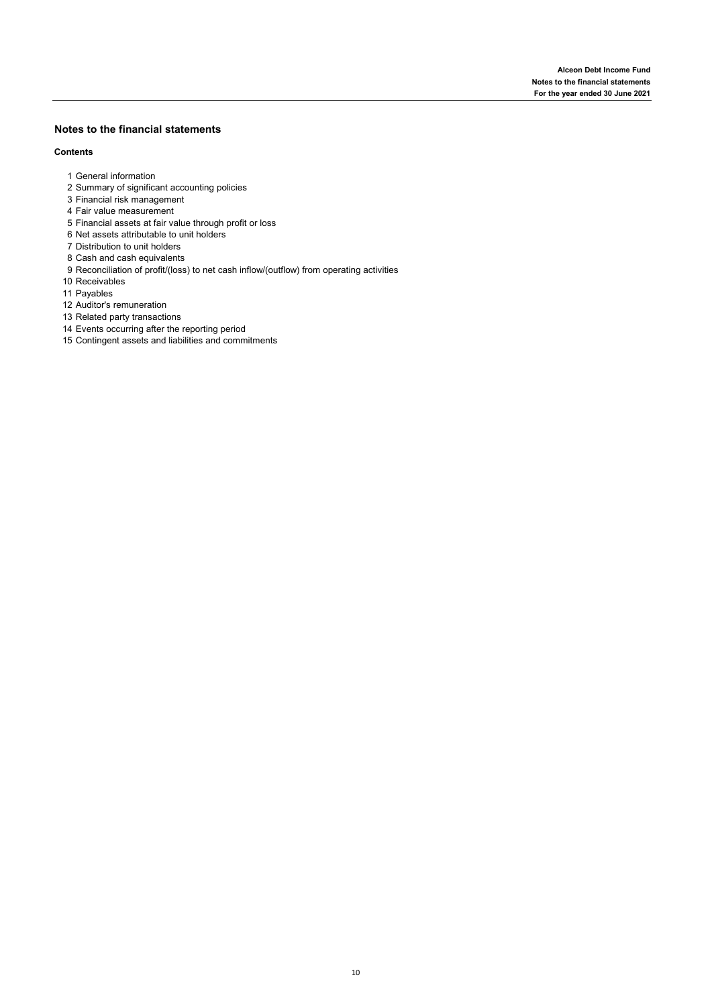### **Notes to the financial statements**

### **Contents**

- 1 General information
- 2 Summary of significant accounting policies
- 3 Financial risk management
- 4 Fair value measurement
- 5 Financial assets at fair value through profit or loss
- 6 Net assets attributable to unit holders
- 7 Distribution to unit holders
- 8 Cash and cash equivalents
- 9 Reconciliation of profit/(loss) to net cash inflow/(outflow) from operating activities
- 10 Receivables
- 11 Payables
- 12 Auditor's remuneration
- 13 Related party transactions
- 14 Events occurring after the reporting period
- 15 Contingent assets and liabilities and commitments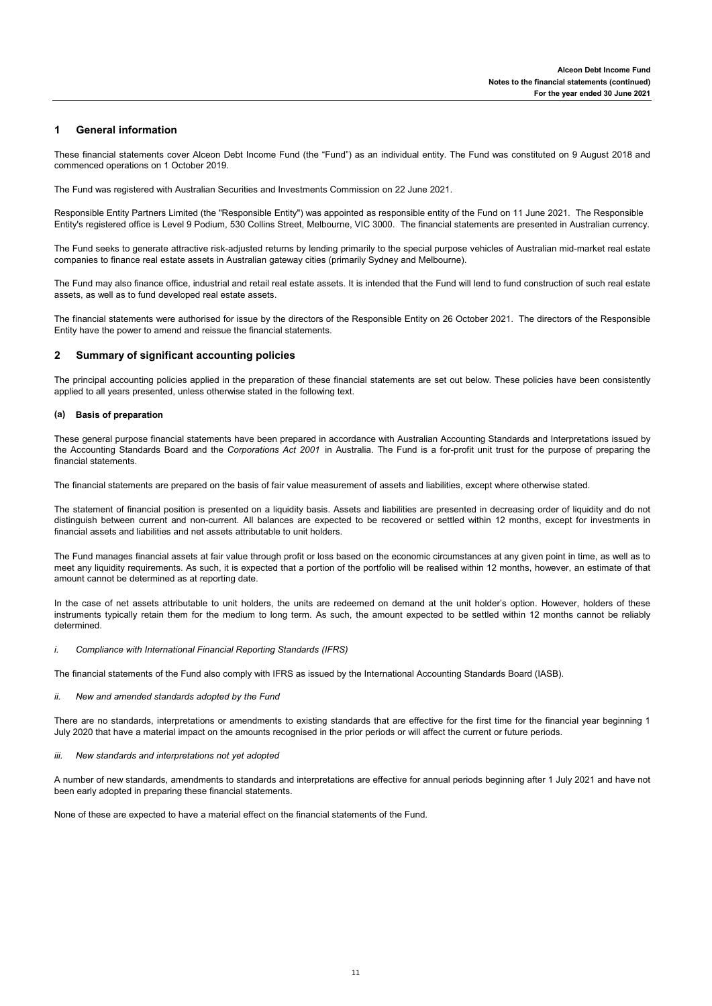#### **1 General information**

These financial statements cover Alceon Debt Income Fund (the "Fund") as an individual entity. The Fund was constituted on 9 August 2018 and commenced operations on 1 October 2019.

The Fund was registered with Australian Securities and Investments Commission on 22 June 2021.

Responsible Entity Partners Limited (the "Responsible Entity") was appointed as responsible entity of the Fund on 11 June 2021. The Responsible Entity's registered office is Level 9 Podium, 530 Collins Street, Melbourne, VIC 3000. The financial statements are presented in Australian currency.

The Fund seeks to generate attractive risk-adjusted returns by lending primarily to the special purpose vehicles of Australian mid-market real estate companies to finance real estate assets in Australian gateway cities (primarily Sydney and Melbourne).

The Fund may also finance office, industrial and retail real estate assets. It is intended that the Fund will lend to fund construction of such real estate assets, as well as to fund developed real estate assets.

The financial statements were authorised for issue by the directors of the Responsible Entity on 26 October 2021. The directors of the Responsible Entity have the power to amend and reissue the financial statements.

#### **2 Summary of significant accounting policies**

The principal accounting policies applied in the preparation of these financial statements are set out below. These policies have been consistently applied to all years presented, unless otherwise stated in the following text.

### **(a) Basis of preparation**

These general purpose financial statements have been prepared in accordance with Australian Accounting Standards and Interpretations issued by the Accounting Standards Board and the *Corporations Act 2001* in Australia. The Fund is a for-profit unit trust for the purpose of preparing the financial statements.

The financial statements are prepared on the basis of fair value measurement of assets and liabilities, except where otherwise stated.

The statement of financial position is presented on a liquidity basis. Assets and liabilities are presented in decreasing order of liquidity and do not distinguish between current and non-current. All balances are expected to be recovered or settled within 12 months, except for investments in financial assets and liabilities and net assets attributable to unit holders.

The Fund manages financial assets at fair value through profit or loss based on the economic circumstances at any given point in time, as well as to meet any liquidity requirements. As such, it is expected that a portion of the portfolio will be realised within 12 months, however, an estimate of that amount cannot be determined as at reporting date.

In the case of net assets attributable to unit holders, the units are redeemed on demand at the unit holder's option. However, holders of these instruments typically retain them for the medium to long term. As such, the amount expected to be settled within 12 months cannot be reliably determined.

### *i. Compliance with International Financial Reporting Standards (IFRS)*

The financial statements of the Fund also comply with IFRS as issued by the International Accounting Standards Board (IASB).

### *ii. New and amended standards adopted by the Fund*

There are no standards, interpretations or amendments to existing standards that are effective for the first time for the financial year beginning 1 July 2020 that have a material impact on the amounts recognised in the prior periods or will affect the current or future periods.

### *iii. New standards and interpretations not yet adopted*

A number of new standards, amendments to standards and interpretations are effective for annual periods beginning after 1 July 2021 and have not been early adopted in preparing these financial statements.

None of these are expected to have a material effect on the financial statements of the Fund.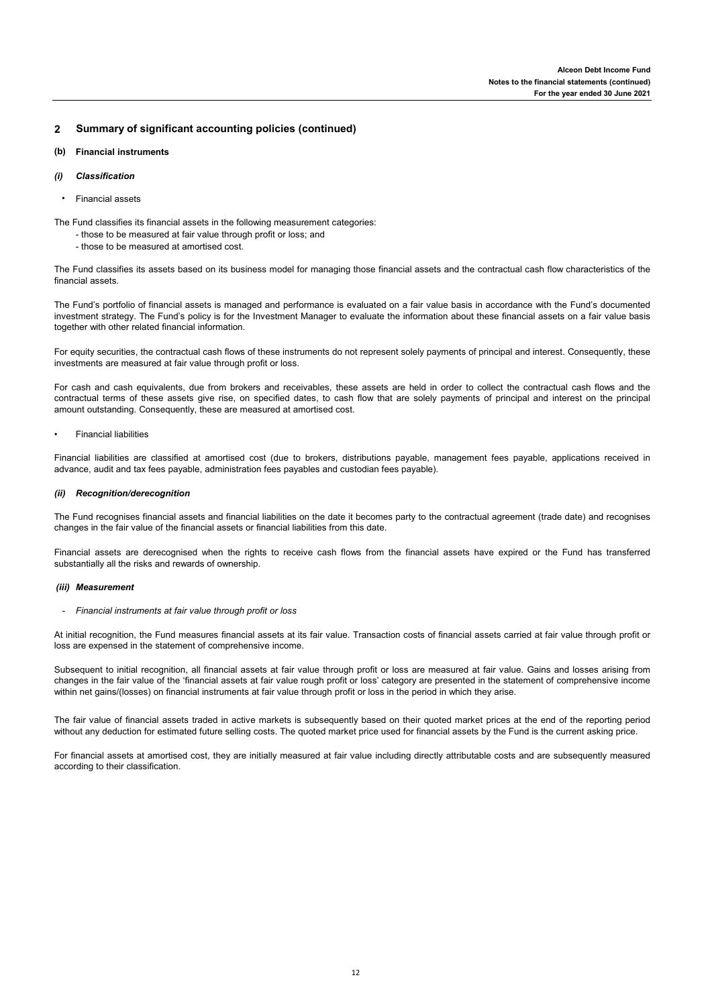### **(b) Financial instruments**

### *(i) Classification*

• Financial assets

The Fund classifies its financial assets in the following measurement categories:

- those to be measured at fair value through profit or loss; and
- those to be measured at amortised cost.

The Fund classifies its assets based on its business model for managing those financial assets and the contractual cash flow characteristics of the financial assets.

The Fund's portfolio of financial assets is managed and performance is evaluated on a fair value basis in accordance with the Fund's documented investment strategy. The Fund's policy is for the Investment Manager to evaluate the information about these financial assets on a fair value basis together with other related financial information.

For equity securities, the contractual cash flows of these instruments do not represent solely payments of principal and interest. Consequently, these investments are measured at fair value through profit or loss.

For cash and cash equivalents, due from brokers and receivables, these assets are held in order to collect the contractual cash flows and the contractual terms of these assets give rise, on specified dates, to cash flow that are solely payments of principal and interest on the principal amount outstanding. Consequently, these are measured at amortised cost.

• Financial liabilities

Financial liabilities are classified at amortised cost (due to brokers, distributions payable, management fees payable, applications received in advance, audit and tax fees payable, administration fees payables and custodian fees payable).

### *(ii) Recognition/derecognition*

The Fund recognises financial assets and financial liabilities on the date it becomes party to the contractual agreement (trade date) and recognises changes in the fair value of the financial assets or financial liabilities from this date.

Financial assets are derecognised when the rights to receive cash flows from the financial assets have expired or the Fund has transferred substantially all the risks and rewards of ownership.

### *(iii) Measurement*

- *Financial instruments at fair value through profit or loss*

At initial recognition, the Fund measures financial assets at its fair value. Transaction costs of financial assets carried at fair value through profit or loss are expensed in the statement of comprehensive income.

Subsequent to initial recognition, all financial assets at fair value through profit or loss are measured at fair value. Gains and losses arising from changes in the fair value of the 'financial assets at fair value rough profit or loss' category are presented in the statement of comprehensive income within net gains/(losses) on financial instruments at fair value through profit or loss in the period in which they arise.

The fair value of financial assets traded in active markets is subsequently based on their quoted market prices at the end of the reporting period without any deduction for estimated future selling costs. The quoted market price used for financial assets by the Fund is the current asking price.

For financial assets at amortised cost, they are initially measured at fair value including directly attributable costs and are subsequently measured according to their classification.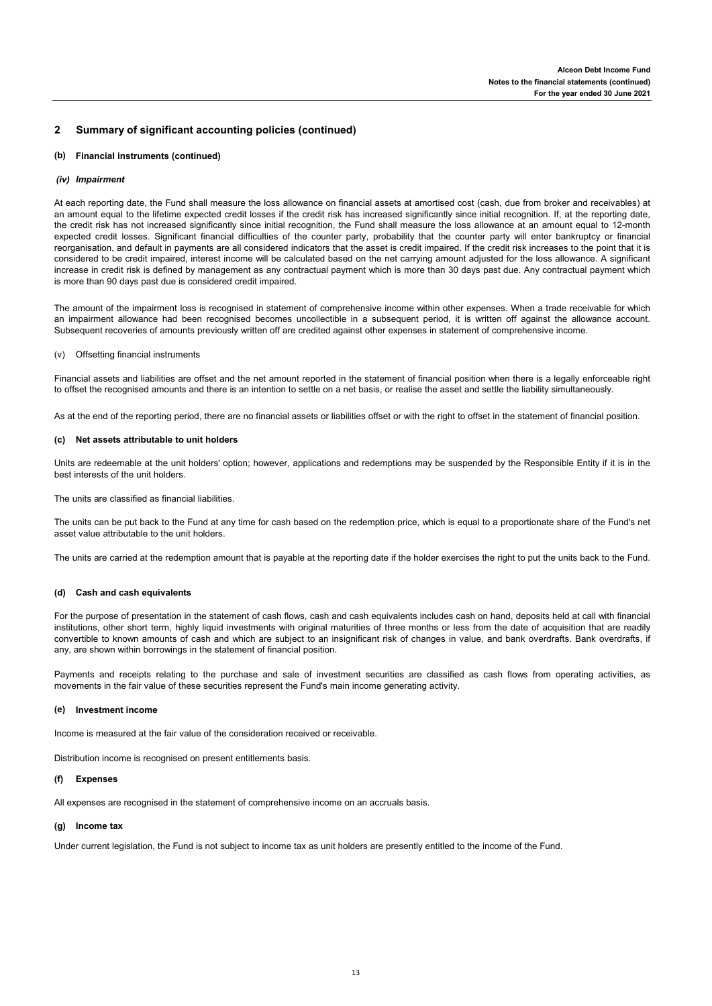### **(b) Financial instruments (continued)**

### *(iv) Impairment*

At each reporting date, the Fund shall measure the loss allowance on financial assets at amortised cost (cash, due from broker and receivables) at an amount equal to the lifetime expected credit losses if the credit risk has increased significantly since initial recognition. If, at the reporting date, the credit risk has not increased significantly since initial recognition, the Fund shall measure the loss allowance at an amount equal to 12-month expected credit losses. Significant financial difficulties of the counter party, probability that the counter party will enter bankruptcy or financial reorganisation, and default in payments are all considered indicators that the asset is credit impaired. If the credit risk increases to the point that it is considered to be credit impaired, interest income will be calculated based on the net carrying amount adjusted for the loss allowance. A significant increase in credit risk is defined by management as any contractual payment which is more than 30 days past due. Any contractual payment which is more than 90 days past due is considered credit impaired.

The amount of the impairment loss is recognised in statement of comprehensive income within other expenses. When a trade receivable for which an impairment allowance had been recognised becomes uncollectible in a subsequent period, it is written off against the allowance account. Subsequent recoveries of amounts previously written off are credited against other expenses in statement of comprehensive income.

### (v) Offsetting financial instruments

Financial assets and liabilities are offset and the net amount reported in the statement of financial position when there is a legally enforceable right to offset the recognised amounts and there is an intention to settle on a net basis, or realise the asset and settle the liability simultaneously.

As at the end of the reporting period, there are no financial assets or liabilities offset or with the right to offset in the statement of financial position.

### **(c) Net assets attributable to unit holders**

Units are redeemable at the unit holders' option; however, applications and redemptions may be suspended by the Responsible Entity if it is in the best interests of the unit holders.

The units are classified as financial liabilities.

The units can be put back to the Fund at any time for cash based on the redemption price, which is equal to a proportionate share of the Fund's net asset value attributable to the unit holders.

The units are carried at the redemption amount that is payable at the reporting date if the holder exercises the right to put the units back to the Fund.

### **(d) Cash and cash equivalents**

For the purpose of presentation in the statement of cash flows, cash and cash equivalents includes cash on hand, deposits held at call with financial institutions, other short term, highly liquid investments with original maturities of three months or less from the date of acquisition that are readily convertible to known amounts of cash and which are subject to an insignificant risk of changes in value, and bank overdrafts. Bank overdrafts, if any, are shown within borrowings in the statement of financial position.

Payments and receipts relating to the purchase and sale of investment securities are classified as cash flows from operating activities, as movements in the fair value of these securities represent the Fund's main income generating activity.

### **(e) Investment income**

Income is measured at the fair value of the consideration received or receivable.

Distribution income is recognised on present entitlements basis.

### **(f) Expenses**

All expenses are recognised in the statement of comprehensive income on an accruals basis.

### **(g) Income tax**

Under current legislation, the Fund is not subject to income tax as unit holders are presently entitled to the income of the Fund.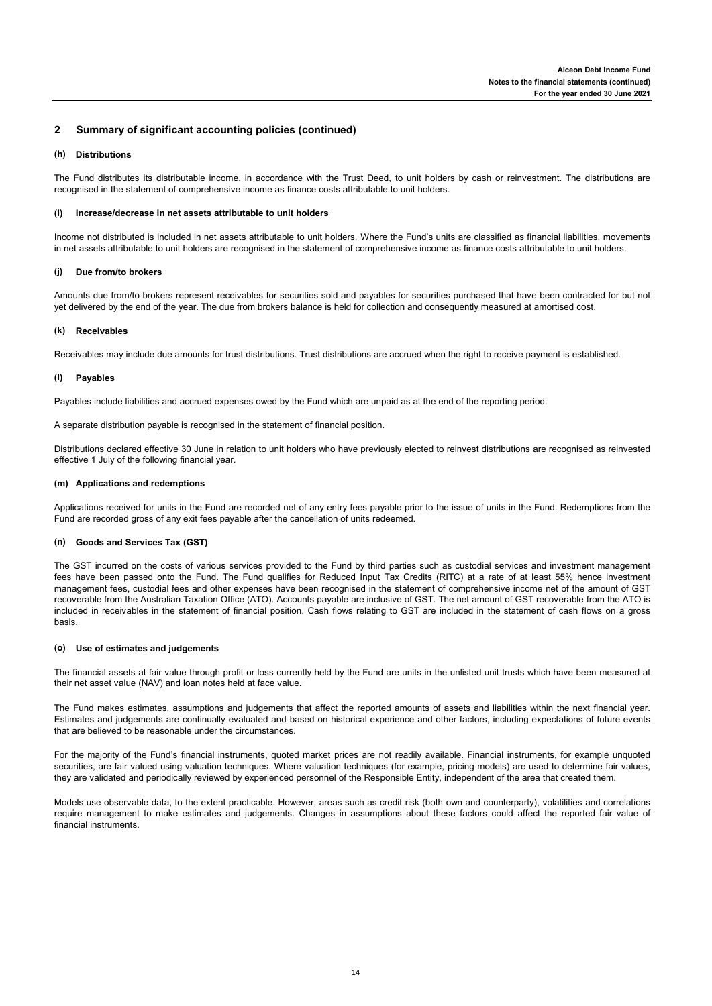### **(h) Distributions**

The Fund distributes its distributable income, in accordance with the Trust Deed, to unit holders by cash or reinvestment. The distributions are recognised in the statement of comprehensive income as finance costs attributable to unit holders.

### **(i) Increase/decrease in net assets attributable to unit holders**

Income not distributed is included in net assets attributable to unit holders. Where the Fund's units are classified as financial liabilities, movements in net assets attributable to unit holders are recognised in the statement of comprehensive income as finance costs attributable to unit holders.

### **(j) Due from/to brokers**

Amounts due from/to brokers represent receivables for securities sold and payables for securities purchased that have been contracted for but not yet delivered by the end of the year. The due from brokers balance is held for collection and consequently measured at amortised cost.

### **(k) Receivables**

Receivables may include due amounts for trust distributions. Trust distributions are accrued when the right to receive payment is established.

### **(l) Payables**

Payables include liabilities and accrued expenses owed by the Fund which are unpaid as at the end of the reporting period.

A separate distribution payable is recognised in the statement of financial position.

Distributions declared effective 30 June in relation to unit holders who have previously elected to reinvest distributions are recognised as reinvested effective 1 July of the following financial year.

### **(m) Applications and redemptions**

Applications received for units in the Fund are recorded net of any entry fees payable prior to the issue of units in the Fund. Redemptions from the Fund are recorded gross of any exit fees payable after the cancellation of units redeemed.

### **(n) Goods and Services Tax (GST)**

The GST incurred on the costs of various services provided to the Fund by third parties such as custodial services and investment management fees have been passed onto the Fund. The Fund qualifies for Reduced Input Tax Credits (RITC) at a rate of at least 55% hence investment management fees, custodial fees and other expenses have been recognised in the statement of comprehensive income net of the amount of GST recoverable from the Australian Taxation Office (ATO). Accounts payable are inclusive of GST. The net amount of GST recoverable from the ATO is included in receivables in the statement of financial position. Cash flows relating to GST are included in the statement of cash flows on a gross basis.

### **(o) Use of estimates and judgements**

The financial assets at fair value through profit or loss currently held by the Fund are units in the unlisted unit trusts which have been measured at their net asset value (NAV) and loan notes held at face value.

The Fund makes estimates, assumptions and judgements that affect the reported amounts of assets and liabilities within the next financial year. Estimates and judgements are continually evaluated and based on historical experience and other factors, including expectations of future events that are believed to be reasonable under the circumstances.

For the majority of the Fund's financial instruments, quoted market prices are not readily available. Financial instruments, for example unquoted securities, are fair valued using valuation techniques. Where valuation techniques (for example, pricing models) are used to determine fair values, they are validated and periodically reviewed by experienced personnel of the Responsible Entity, independent of the area that created them.

Models use observable data, to the extent practicable. However, areas such as credit risk (both own and counterparty), volatilities and correlations require management to make estimates and judgements. Changes in assumptions about these factors could affect the reported fair value of financial instruments.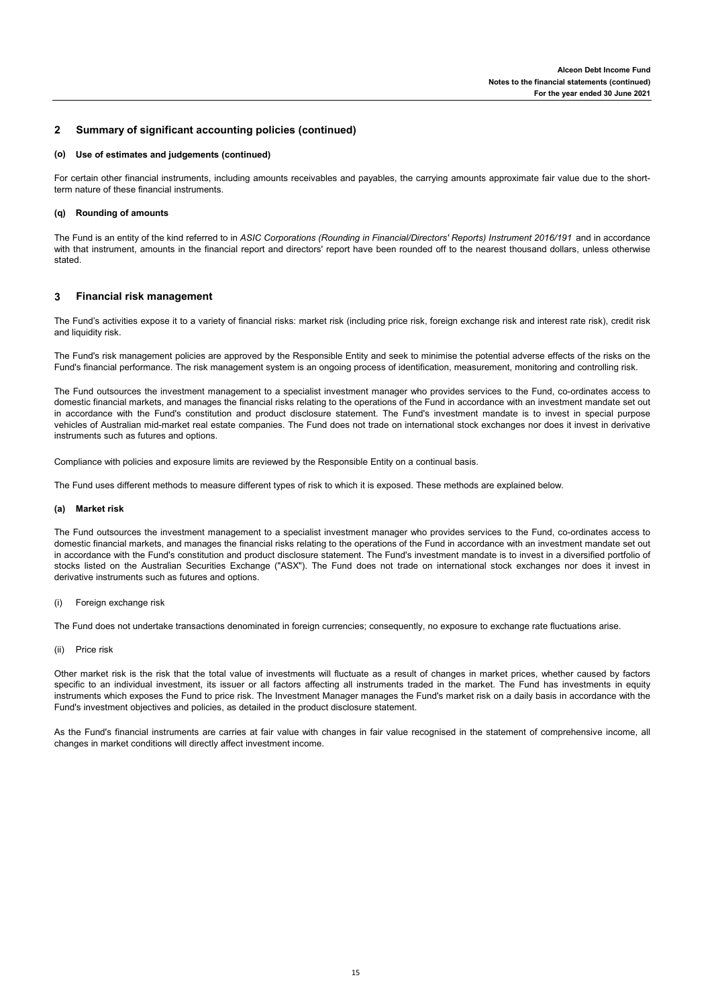### **(o) Use of estimates and judgements (continued)**

For certain other financial instruments, including amounts receivables and payables, the carrying amounts approximate fair value due to the shortterm nature of these financial instruments.

### **(q) Rounding of amounts**

The Fund is an entity of the kind referred to in *ASIC Corporations (Rounding in Financial/Directors' Reports) Instrument 2016/191* and in accordance with that instrument, amounts in the financial report and directors' report have been rounded off to the nearest thousand dollars, unless otherwise stated.

#### **3 Financial risk management**

The Fund's activities expose it to a variety of financial risks: market risk (including price risk, foreign exchange risk and interest rate risk), credit risk and liquidity risk.

The Fund's risk management policies are approved by the Responsible Entity and seek to minimise the potential adverse effects of the risks on the Fund's financial performance. The risk management system is an ongoing process of identification, measurement, monitoring and controlling risk.

The Fund outsources the investment management to a specialist investment manager who provides services to the Fund, co-ordinates access to domestic financial markets, and manages the financial risks relating to the operations of the Fund in accordance with an investment mandate set out in accordance with the Fund's constitution and product disclosure statement. The Fund's investment mandate is to invest in special purpose vehicles of Australian mid-market real estate companies. The Fund does not trade on international stock exchanges nor does it invest in derivative instruments such as futures and options.

Compliance with policies and exposure limits are reviewed by the Responsible Entity on a continual basis.

The Fund uses different methods to measure different types of risk to which it is exposed. These methods are explained below.

### **(a) Market risk**

The Fund outsources the investment management to a specialist investment manager who provides services to the Fund, co-ordinates access to domestic financial markets, and manages the financial risks relating to the operations of the Fund in accordance with an investment mandate set out in accordance with the Fund's constitution and product disclosure statement. The Fund's investment mandate is to invest in a diversified portfolio of stocks listed on the Australian Securities Exchange ("ASX"). The Fund does not trade on international stock exchanges nor does it invest in derivative instruments such as futures and options.

(i) Foreign exchange risk

The Fund does not undertake transactions denominated in foreign currencies; consequently, no exposure to exchange rate fluctuations arise.

(ii) Price risk

Other market risk is the risk that the total value of investments will fluctuate as a result of changes in market prices, whether caused by factors specific to an individual investment, its issuer or all factors affecting all instruments traded in the market. The Fund has investments in equity instruments which exposes the Fund to price risk. The Investment Manager manages the Fund's market risk on a daily basis in accordance with the Fund's investment objectives and policies, as detailed in the product disclosure statement.

As the Fund's financial instruments are carries at fair value with changes in fair value recognised in the statement of comprehensive income, all changes in market conditions will directly affect investment income.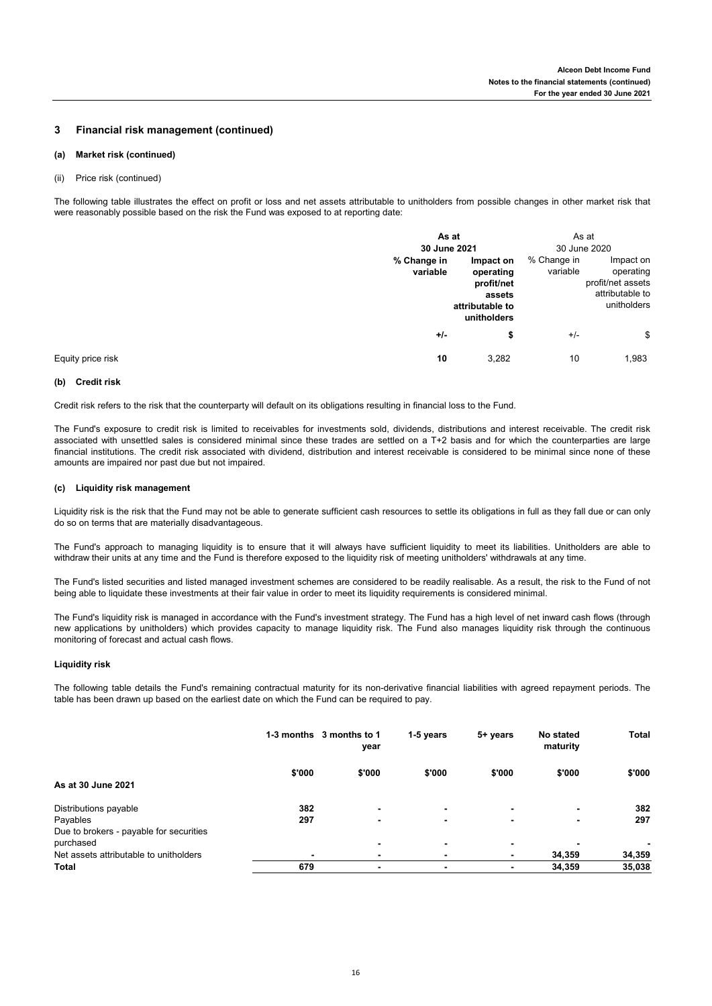#### **3 Financial risk management (continued)**

### **(a) Market risk (continued)**

### (ii) Price risk (continued)

The following table illustrates the effect on profit or loss and net assets attributable to unitholders from possible changes in other market risk that were reasonably possible based on the risk the Fund was exposed to at reporting date:

|                   | As at<br>30 June 2021                                                                                       |       | As at<br>30 June 2020   |                                                                               |  |
|-------------------|-------------------------------------------------------------------------------------------------------------|-------|-------------------------|-------------------------------------------------------------------------------|--|
|                   | % Change in<br>Impact on<br>variable<br>operating<br>profit/net<br>assets<br>attributable to<br>unitholders |       | % Change in<br>variable | Impact on<br>operating<br>profit/net assets<br>attributable to<br>unitholders |  |
|                   | $+/-$                                                                                                       | \$    | $+/-$                   | \$                                                                            |  |
| Equity price risk | 10                                                                                                          | 3,282 | 10                      | 1,983                                                                         |  |

### **(b) Credit risk**

Credit risk refers to the risk that the counterparty will default on its obligations resulting in financial loss to the Fund.

The Fund's exposure to credit risk is limited to receivables for investments sold, dividends, distributions and interest receivable. The credit risk associated with unsettled sales is considered minimal since these trades are settled on a T+2 basis and for which the counterparties are large financial institutions. The credit risk associated with dividend, distribution and interest receivable is considered to be minimal since none of these amounts are impaired nor past due but not impaired.

### **(c) Liquidity risk management**

Liquidity risk is the risk that the Fund may not be able to generate sufficient cash resources to settle its obligations in full as they fall due or can only do so on terms that are materially disadvantageous.

The Fund's approach to managing liquidity is to ensure that it will always have sufficient liquidity to meet its liabilities. Unitholders are able to withdraw their units at any time and the Fund is therefore exposed to the liquidity risk of meeting unitholders' withdrawals at any time.

The Fund's listed securities and listed managed investment schemes are considered to be readily realisable. As a result, the risk to the Fund of not being able to liquidate these investments at their fair value in order to meet its liquidity requirements is considered minimal.

The Fund's liquidity risk is managed in accordance with the Fund's investment strategy. The Fund has a high level of net inward cash flows (through new applications by unitholders) which provides capacity to manage liquidity risk. The Fund also manages liquidity risk through the continuous monitoring of forecast and actual cash flows.

### **Liquidity risk**

The following table details the Fund's remaining contractual maturity for its non-derivative financial liabilities with agreed repayment periods. The table has been drawn up based on the earliest date on which the Fund can be required to pay.

|                                                      |                          | 1-3 months 3 months to 1<br>year | 1-5 years                | 5+ years                         | No stated<br>maturity    | <b>Total</b>   |
|------------------------------------------------------|--------------------------|----------------------------------|--------------------------|----------------------------------|--------------------------|----------------|
|                                                      | \$'000                   | \$'000                           | \$'000                   | \$'000                           | \$'000                   | \$'000         |
| As at 30 June 2021                                   |                          |                                  |                          |                                  |                          |                |
| Distributions payable                                | 382                      | $\blacksquare$                   | $\overline{\phantom{0}}$ | $\blacksquare$                   | $\overline{\phantom{0}}$ | 382            |
| Payables                                             | 297                      | $\overline{\phantom{0}}$         | -                        | $\blacksquare$                   | $\overline{\phantom{0}}$ | 297            |
| Due to brokers - payable for securities<br>purchased |                          | -                                | -                        |                                  |                          | $\blacksquare$ |
| Net assets attributable to unitholders               | $\overline{\phantom{0}}$ | $\blacksquare$                   | $\blacksquare$           | $\blacksquare$<br>$\blacksquare$ | 34,359                   | 34,359         |
| <b>Total</b>                                         | 679                      |                                  | $\blacksquare$           | $\blacksquare$                   | 34,359                   | 35,038         |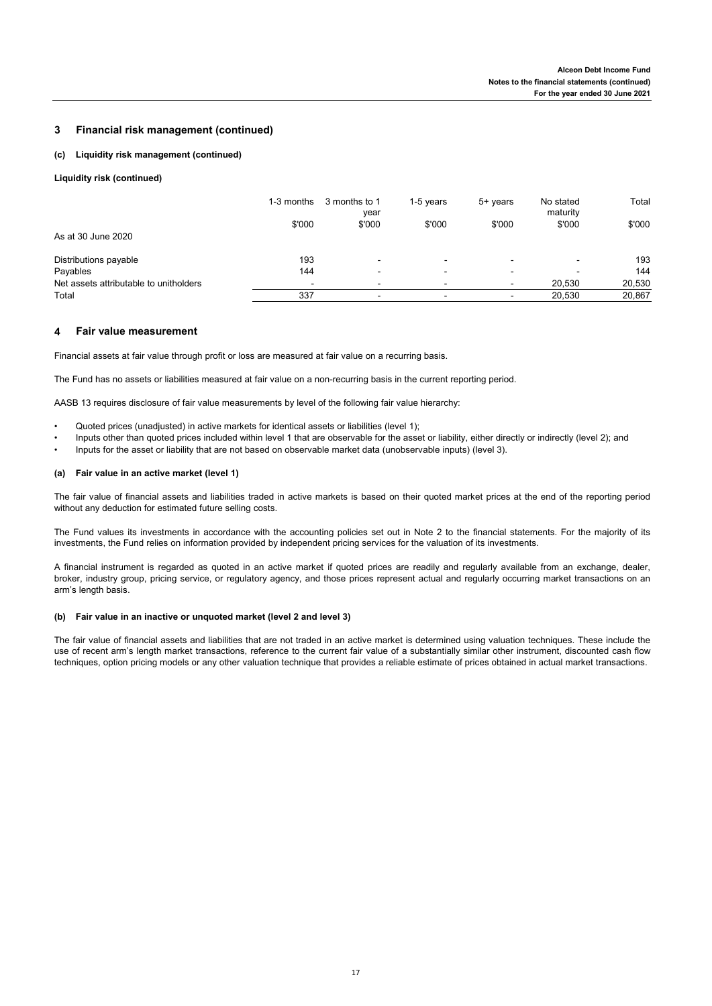#### **3 Financial risk management (continued)**

### **(c) Liquidity risk management (continued)**

### **Liquidity risk (continued)**

|                                        | 1-3 months     | 3 months to 1<br>year    | 1-5 vears | 5+ years                 | No stated<br>maturity | Total  |
|----------------------------------------|----------------|--------------------------|-----------|--------------------------|-----------------------|--------|
|                                        | \$'000         | \$'000                   | \$'000    | \$'000                   | \$'000                | \$'000 |
| As at 30 June 2020                     |                |                          |           |                          |                       |        |
| Distributions payable                  | 193            | $\overline{\phantom{0}}$ | -         | $\overline{\phantom{0}}$ | $\blacksquare$        | 193    |
| Payables                               | 144            | $\overline{\phantom{0}}$ | -         | -                        | -                     | 144    |
| Net assets attributable to unitholders | $\blacksquare$ | $\overline{\phantom{0}}$ | -         | $\sim$                   | 20.530                | 20,530 |
| Total                                  | 337            | $\overline{\phantom{0}}$ | -         |                          | 20.530                | 20,867 |

#### **4 Fair value measurement**

Financial assets at fair value through profit or loss are measured at fair value on a recurring basis.

The Fund has no assets or liabilities measured at fair value on a non-recurring basis in the current reporting period.

AASB 13 requires disclosure of fair value measurements by level of the following fair value hierarchy:

- Quoted prices (unadjusted) in active markets for identical assets or liabilities (level 1);
- Inputs other than quoted prices included within level 1 that are observable for the asset or liability, either directly or indirectly (level 2); and
- Inputs for the asset or liability that are not based on observable market data (unobservable inputs) (level 3).

### **(a) Fair value in an active market (level 1)**

The fair value of financial assets and liabilities traded in active markets is based on their quoted market prices at the end of the reporting period without any deduction for estimated future selling costs.

The Fund values its investments in accordance with the accounting policies set out in Note 2 to the financial statements. For the majority of its investments, the Fund relies on information provided by independent pricing services for the valuation of its investments.

A financial instrument is regarded as quoted in an active market if quoted prices are readily and regularly available from an exchange, dealer, broker, industry group, pricing service, or regulatory agency, and those prices represent actual and regularly occurring market transactions on an arm's length basis.

### **(b) Fair value in an inactive or unquoted market (level 2 and level 3)**

The fair value of financial assets and liabilities that are not traded in an active market is determined using valuation techniques. These include the use of recent arm's length market transactions, reference to the current fair value of a substantially similar other instrument, discounted cash flow techniques, option pricing models or any other valuation technique that provides a reliable estimate of prices obtained in actual market transactions.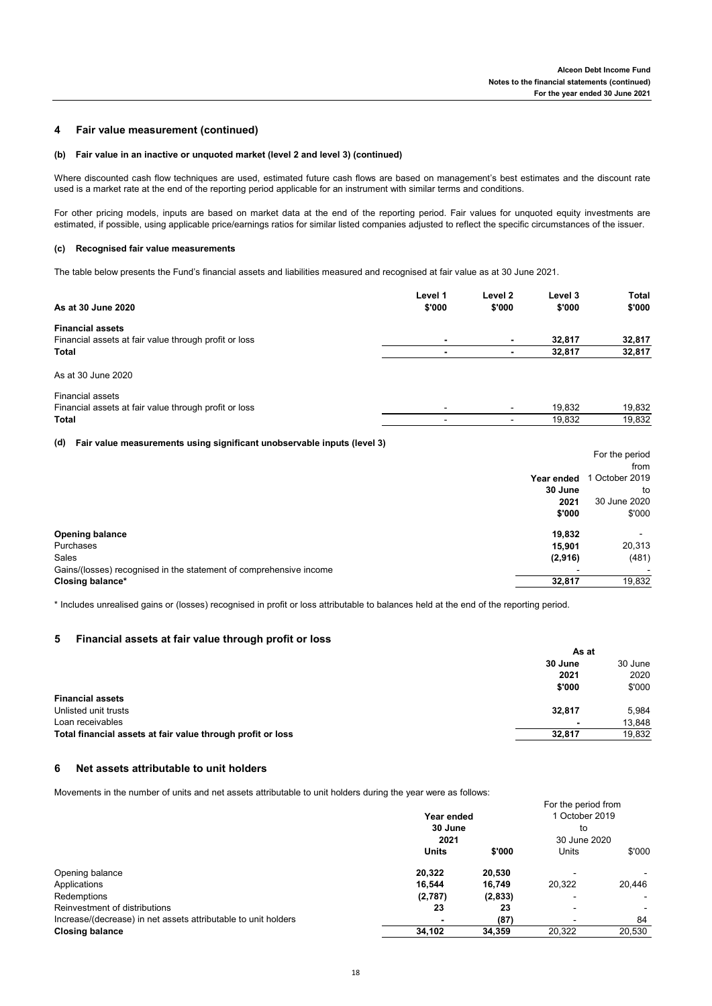#### **4 Fair value measurement (continued)**

### **(b) Fair value in an inactive or unquoted market (level 2 and level 3) (continued)**

Where discounted cash flow techniques are used, estimated future cash flows are based on management's best estimates and the discount rate used is a market rate at the end of the reporting period applicable for an instrument with similar terms and conditions.

For other pricing models, inputs are based on market data at the end of the reporting period. Fair values for unquoted equity investments are estimated, if possible, using applicable price/earnings ratios for similar listed companies adjusted to reflect the specific circumstances of the issuer.

### **(c) Recognised fair value measurements**

The table below presents the Fund's financial assets and liabilities measured and recognised at fair value as at 30 June 2021.

| As at 30 June 2020                                    | Level 1<br>\$'000 | Level 2<br>\$'000 | Level 3<br>\$'000 | <b>Total</b><br>\$'000 |
|-------------------------------------------------------|-------------------|-------------------|-------------------|------------------------|
|                                                       |                   |                   |                   |                        |
| <b>Financial assets</b>                               |                   |                   |                   |                        |
| Financial assets at fair value through profit or loss | -                 | $\blacksquare$    | 32.817            | 32.817                 |
| <b>Total</b>                                          | -                 | $\blacksquare$    | 32.817            | 32,817                 |
| As at 30 June 2020                                    |                   |                   |                   |                        |

| <b>Financial assets</b>                               |  |        |        |
|-------------------------------------------------------|--|--------|--------|
| Financial assets at fair value through profit or loss |  | 19.832 | 19.832 |
| <b>Total</b>                                          |  | 19.832 | 19,832 |

### **(d) Fair value measurements using significant unobservable inputs (level 3)**

|                                                                    |            | For the period           |
|--------------------------------------------------------------------|------------|--------------------------|
|                                                                    |            | from                     |
|                                                                    | Year ended | 1 October 2019           |
|                                                                    | 30 June    | to                       |
|                                                                    | 2021       | 30 June 2020             |
|                                                                    | \$'000     | \$'000                   |
| <b>Opening balance</b>                                             | 19,832     | $\overline{\phantom{0}}$ |
| Purchases                                                          | 15.901     | 20,313                   |
| Sales                                                              | (2,916)    | (481)                    |
| Gains/(losses) recognised in the statement of comprehensive income |            |                          |
| Closing balance*                                                   | 32,817     | 19,832                   |
|                                                                    |            |                          |

\* Includes unrealised gains or (losses) recognised in profit or loss attributable to balances held at the end of the reporting period.

### **5 Financial assets at fair value through profit or loss**

|                                                             | As at          |         |  |
|-------------------------------------------------------------|----------------|---------|--|
|                                                             | 30 June        | 30 June |  |
|                                                             | 2021           | 2020    |  |
|                                                             | \$'000         | \$'000  |  |
| <b>Financial assets</b>                                     |                |         |  |
| Unlisted unit trusts                                        | 32,817         | 5.984   |  |
| Loan receivables                                            | $\blacksquare$ | 13,848  |  |
| Total financial assets at fair value through profit or loss | 32.817         | 19,832  |  |
|                                                             |                |         |  |

### **6 Net assets attributable to unit holders**

Movements in the number of units and net assets attributable to unit holders during the year were as follows:

|                                                                |                               |         | For the period from                  |        |
|----------------------------------------------------------------|-------------------------------|---------|--------------------------------------|--------|
|                                                                | Year ended<br>30 June<br>2021 |         | 1 October 2019<br>to<br>30 June 2020 |        |
|                                                                |                               |         |                                      |        |
|                                                                |                               |         |                                      |        |
|                                                                | Units                         | \$'000  | Units                                | \$'000 |
| Opening balance                                                | 20,322                        | 20,530  |                                      |        |
| Applications                                                   | 16.544                        | 16.749  | 20.322                               | 20.446 |
| Redemptions                                                    | (2,787)                       | (2,833) |                                      |        |
| Reinvestment of distributions                                  | 23                            | 23      |                                      |        |
| Increase/(decrease) in net assets attributable to unit holders | $\blacksquare$                | (87)    |                                      | 84     |
| <b>Closing balance</b>                                         | 34,102                        | 34,359  | 20,322                               | 20,530 |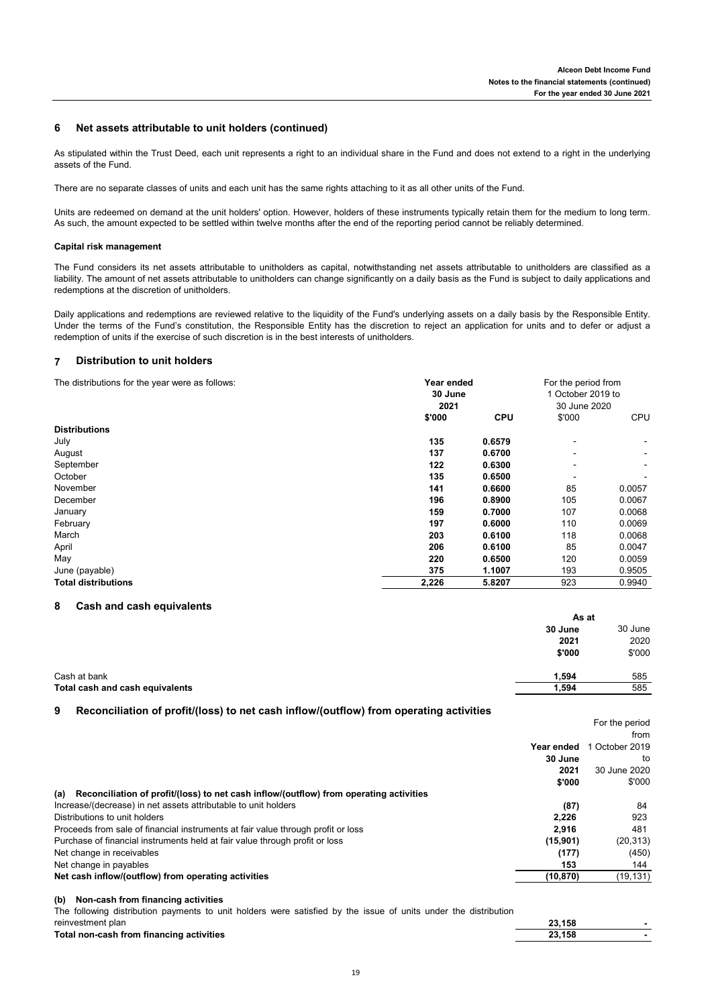For the period

### **6 Net assets attributable to unit holders (continued)**

As stipulated within the Trust Deed, each unit represents a right to an individual share in the Fund and does not extend to a right in the underlying assets of the Fund.

There are no separate classes of units and each unit has the same rights attaching to it as all other units of the Fund.

Units are redeemed on demand at the unit holders' option. However, holders of these instruments typically retain them for the medium to long term. As such, the amount expected to be settled within twelve months after the end of the reporting period cannot be reliably determined.

### **Capital risk management**

The Fund considers its net assets attributable to unitholders as capital, notwithstanding net assets attributable to unitholders are classified as a liability. The amount of net assets attributable to unitholders can change significantly on a daily basis as the Fund is subject to daily applications and redemptions at the discretion of unitholders.

Daily applications and redemptions are reviewed relative to the liquidity of the Fund's underlying assets on a daily basis by the Responsible Entity. Under the terms of the Fund's constitution, the Responsible Entity has the discretion to reject an application for units and to defer or adjust a redemption of units if the exercise of such discretion is in the best interests of unitholders.

### **7 Distribution to unit holders**

The distributions for the year were as follows: **\$'000 CPU** \$'000 CPU **Distributions** July **0.6579 135** - - August **0.6700 137** - - September **0.6300 122** - - October **0.6500 135** - - November **0.6600 141** 0.0057 85 December **0.8900 196** 0.0067 105 January **0.7000 159** 0.0068 107 February **0.6000 197** 0.0069 110 March **0.6100 203** 0.0068 118 April **0.6100 206** 0.0047 85 May **0.6500 220** 0.0059 120 June (payable) **1.1007 375** 0.9505 193 **Total distributions 5.8207 2,226** 0.9940 923 30 June 2020 **Year ended** For the period from **2021 30 June** 1 October 2019 to

### **8 Cash and cash equivalents**

|                                 |         | As at   |  |
|---------------------------------|---------|---------|--|
|                                 | 30 June | 30 June |  |
|                                 | 2021    | 2020    |  |
|                                 | \$'000  | \$'000  |  |
| Cash at bank                    | 1,594   | 585     |  |
| Total cash and cash equivalents | 1.594   | 585     |  |

### **9 Reconciliation of profit/(loss) to net cash inflow/(outflow) from operating activities**

|                                                                                               |            | For the period |
|-----------------------------------------------------------------------------------------------|------------|----------------|
|                                                                                               |            | from           |
|                                                                                               | Year ended | 1 October 2019 |
|                                                                                               | 30 June    | to             |
|                                                                                               | 2021       | 30 June 2020   |
|                                                                                               | \$'000     | \$'000         |
| Reconciliation of profit/(loss) to net cash inflow/(outflow) from operating activities<br>(a) |            |                |
| Increase/(decrease) in net assets attributable to unit holders                                | (87)       | 84             |
| Distributions to unit holders                                                                 | 2.226      | 923            |
| Proceeds from sale of financial instruments at fair value through profit or loss              | 2.916      | 481            |
| Purchase of financial instruments held at fair value through profit or loss                   | (15,901)   | (20, 313)      |
| Net change in receivables                                                                     | (177)      | (450)          |
| Net change in payables                                                                        | 153        | 144            |
| Net cash inflow/(outflow) from operating activities                                           | (10, 870)  | (19, 131)      |
|                                                                                               |            |                |

### **(b) Non-cash from financing activities**

The following distribution payments to unit holders were satisfied by the issue of units under the distribution

| reinvestment plan                        | .158<br>23. |  |
|------------------------------------------|-------------|--|
| Total non-cash from financing activities | .158<br>23. |  |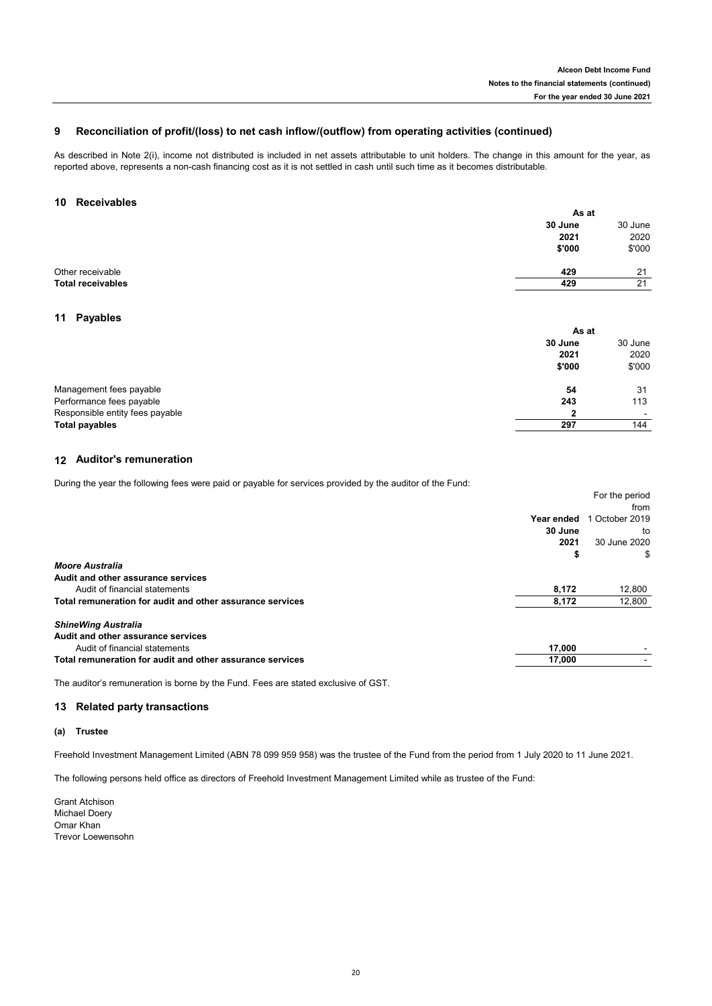### **9 Reconciliation of profit/(loss) to net cash inflow/(outflow) from operating activities (continued)**

As described in Note 2(i), income not distributed is included in net assets attributable to unit holders. The change in this amount for the year, as reported above, represents a non-cash financing cost as it is not settled in cash until such time as it becomes distributable.

### **10 Receivables**

|                          | As at   |         |  |
|--------------------------|---------|---------|--|
|                          | 30 June | 30 June |  |
|                          | 2021    | 2020    |  |
|                          | \$'000  | \$'000  |  |
| Other receivable         | 429     | 21      |  |
| <b>Total receivables</b> | 429     | 21      |  |
|                          |         |         |  |

### **11 Payables**

|                                 | As at   |                |
|---------------------------------|---------|----------------|
|                                 | 30 June |                |
|                                 | 2021    | 2020           |
|                                 | \$'000  | \$'000         |
| Management fees payable         | 54      | 31             |
| Performance fees payable        | 243     | 113            |
| Responsible entity fees payable | ົ       | $\blacksquare$ |
| <b>Total payables</b>           | 297     | 144            |

### **12 Auditor's remuneration**

During the year the following fees were paid or payable for services provided by the auditor of the Fund:

|                                                           |            | For the period |
|-----------------------------------------------------------|------------|----------------|
|                                                           |            | from           |
|                                                           | Year ended | 1 October 2019 |
|                                                           | 30 June    | to             |
|                                                           | 2021       | 30 June 2020   |
|                                                           | \$         | \$             |
| <b>Moore Australia</b>                                    |            |                |
| Audit and other assurance services                        |            |                |
| Audit of financial statements                             | 8,172      | 12,800         |
| Total remuneration for audit and other assurance services | 8,172      | 12,800         |
| <b>ShineWing Australia</b>                                |            |                |
| Audit and other assurance services                        |            |                |
| Audit of financial statements                             | 17,000     |                |
| Total remuneration for audit and other assurance services | 17,000     |                |
|                                                           |            |                |

The auditor's remuneration is borne by the Fund. Fees are stated exclusive of GST.

### **13 Related party transactions**

### **(a) Trustee**

Freehold Investment Management Limited (ABN 78 099 959 958) was the trustee of the Fund from the period from 1 July 2020 to 11 June 2021.

The following persons held office as directors of Freehold Investment Management Limited while as trustee of the Fund:

Michael Doery Omar Khan Trevor Loewensohn Grant Atchison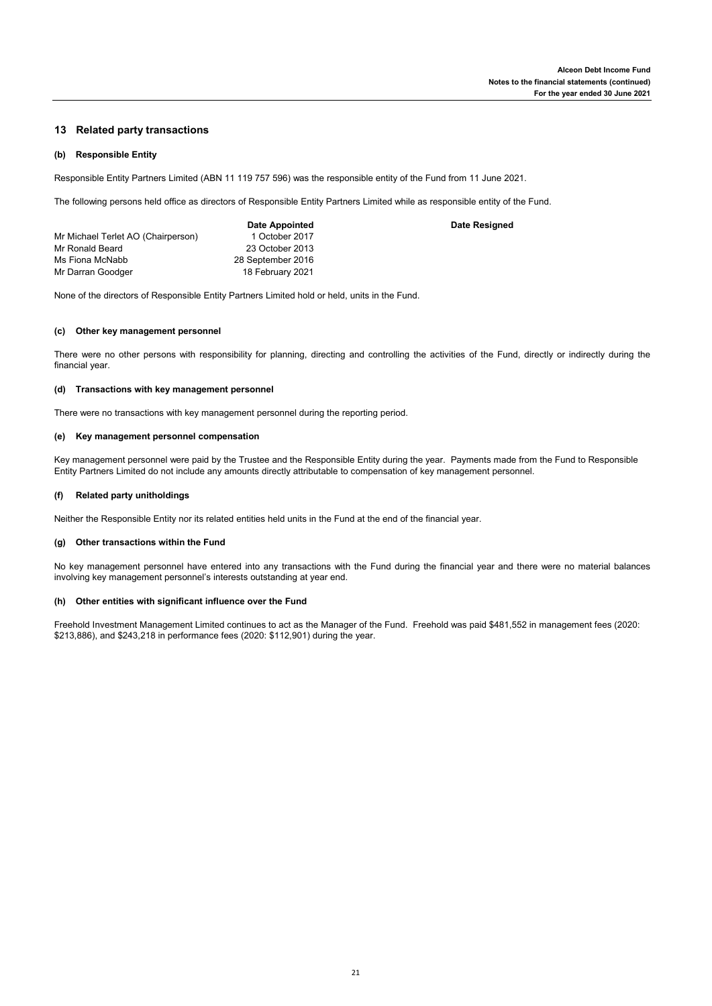### **13 Related party transactions**

### **(b) Responsible Entity**

Responsible Entity Partners Limited (ABN 11 119 757 596) was the responsible entity of the Fund from 11 June 2021.

The following persons held office as directors of Responsible Entity Partners Limited while as responsible entity of the Fund.

|                                    | Date Appointed    | Date Resigned |
|------------------------------------|-------------------|---------------|
| Mr Michael Terlet AO (Chairperson) | 1 October 2017    |               |
| Mr Ronald Beard                    | 23 October 2013   |               |
| Ms Fiona McNabb                    | 28 September 2016 |               |
| Mr Darran Goodger                  | 18 February 2021  |               |

None of the directors of Responsible Entity Partners Limited hold or held, units in the Fund.

### **(c) Other key management personnel**

There were no other persons with responsibility for planning, directing and controlling the activities of the Fund, directly or indirectly during the financial year.

### **(d) Transactions with key management personnel**

There were no transactions with key management personnel during the reporting period.

### **(e) Key management personnel compensation**

Key management personnel were paid by the Trustee and the Responsible Entity during the year. Payments made from the Fund to Responsible Entity Partners Limited do not include any amounts directly attributable to compensation of key management personnel.

### **(f) Related party unitholdings**

Neither the Responsible Entity nor its related entities held units in the Fund at the end of the financial year.

### **(g) Other transactions within the Fund**

No key management personnel have entered into any transactions with the Fund during the financial year and there were no material balances involving key management personnel's interests outstanding at year end.

### **(h) Other entities with significant influence over the Fund**

Freehold Investment Management Limited continues to act as the Manager of the Fund. Freehold was paid \$481,552 in management fees (2020: \$213,886), and \$243,218 in performance fees (2020: \$112,901) during the year.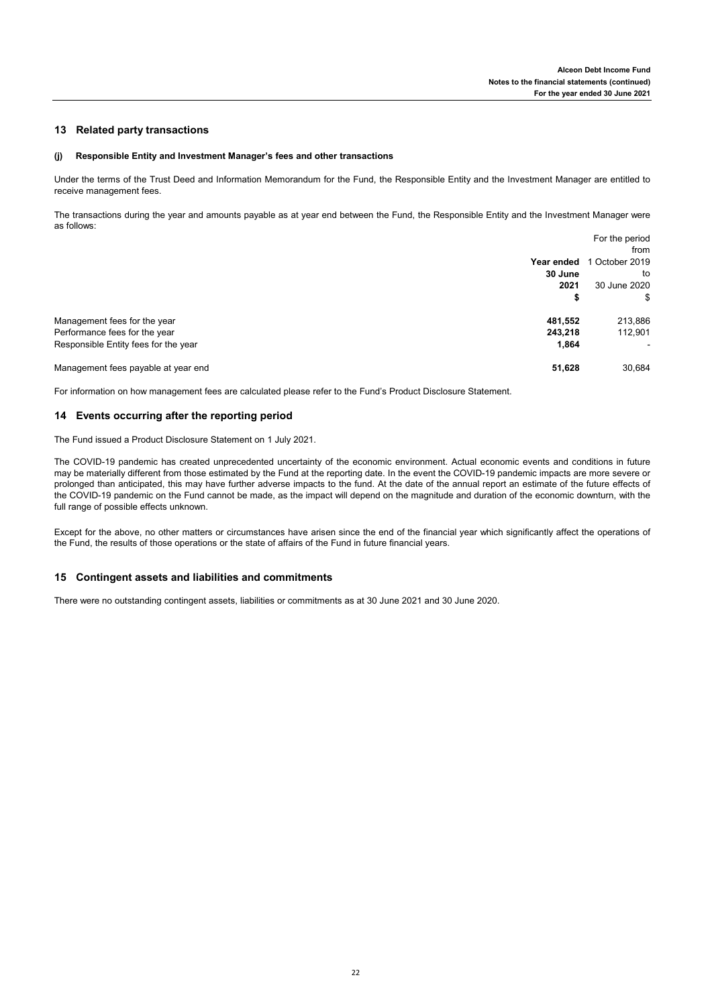For the period

### **13 Related party transactions**

### **(j) Responsible Entity and Investment Manager's fees and other transactions**

Under the terms of the Trust Deed and Information Memorandum for the Fund, the Responsible Entity and the Investment Manager are entitled to receive management fees.

The transactions during the year and amounts payable as at year end between the Fund, the Responsible Entity and the Investment Manager were as follows:

|                                      |            | i vi tile helluu         |
|--------------------------------------|------------|--------------------------|
|                                      |            | from                     |
|                                      | Year ended | 1 October 2019           |
|                                      | 30 June    | to                       |
|                                      | 2021       | 30 June 2020             |
|                                      | \$         | \$                       |
| Management fees for the year         | 481,552    | 213,886                  |
| Performance fees for the year        | 243,218    | 112,901                  |
| Responsible Entity fees for the year | 1,864      | $\overline{\phantom{a}}$ |
| Management fees payable at year end  | 51,628     | 30,684                   |
|                                      |            |                          |

For information on how management fees are calculated please refer to the Fund's Product Disclosure Statement.

### **14 Events occurring after the reporting period**

The Fund issued a Product Disclosure Statement on 1 July 2021.

The COVID-19 pandemic has created unprecedented uncertainty of the economic environment. Actual economic events and conditions in future may be materially different from those estimated by the Fund at the reporting date. In the event the COVID-19 pandemic impacts are more severe or prolonged than anticipated, this may have further adverse impacts to the fund. At the date of the annual report an estimate of the future effects of the COVID-19 pandemic on the Fund cannot be made, as the impact will depend on the magnitude and duration of the economic downturn, with the full range of possible effects unknown.

Except for the above, no other matters or circumstances have arisen since the end of the financial year which significantly affect the operations of the Fund, the results of those operations or the state of affairs of the Fund in future financial years.

### **15 Contingent assets and liabilities and commitments**

There were no outstanding contingent assets, liabilities or commitments as at 30 June 2021 and 30 June 2020.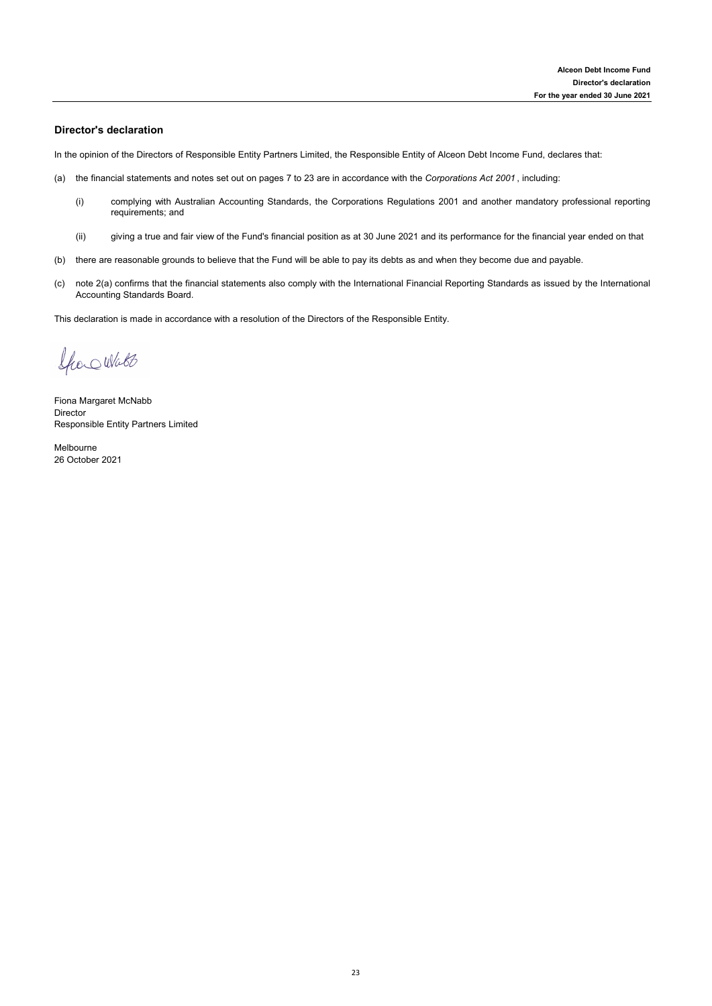### **Director's declaration**

In the opinion of the Directors of Responsible Entity Partners Limited, the Responsible Entity of Alceon Debt Income Fund, declares that:

- (a) the financial statements and notes set out on pages 7 to 23 are in accordance with the *Corporations Act 2001* , including:
	- (i) complying with Australian Accounting Standards, the Corporations Regulations 2001 and another mandatory professional reporting requirements; and
	- (ii) giving a true and fair view of the Fund's financial position as at 30 June 2021 and its performance for the financial year ended on that
- (b) there are reasonable grounds to believe that the Fund will be able to pay its debts as and when they become due and payable.
- (c) note 2(a) confirms that the financial statements also comply with the International Financial Reporting Standards as issued by the International Accounting Standards Board.

This declaration is made in accordance with a resolution of the Directors of the Responsible Entity.

Spor Watt

Director Responsible Entity Partners Limited Fiona Margaret McNabb

Melbourne 26 October 2021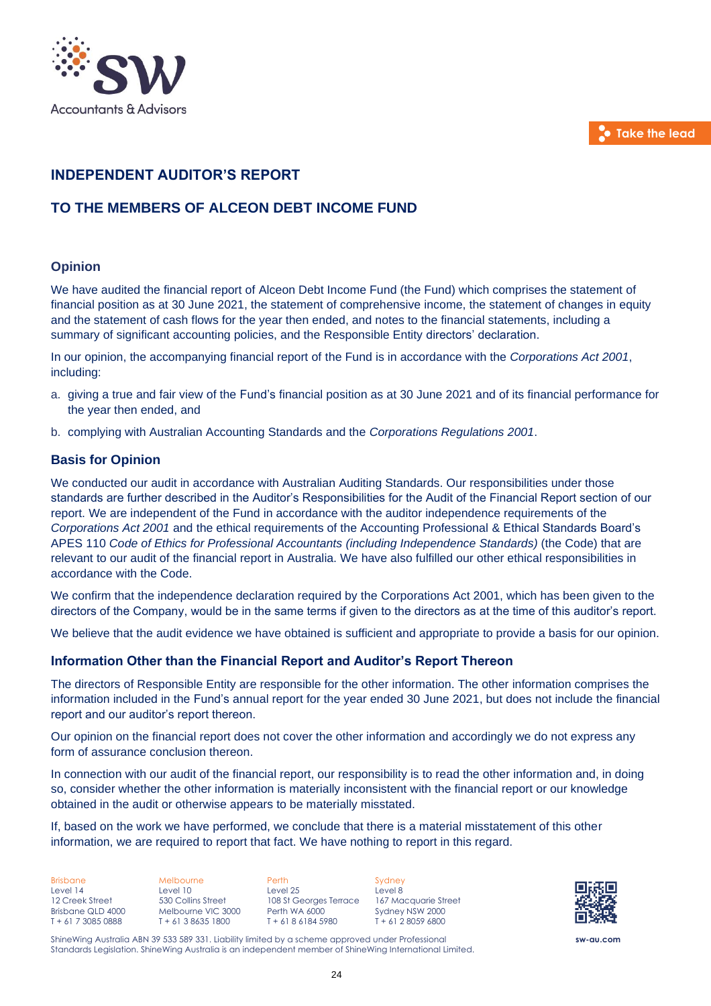

**Take the lead**

## **INDEPENDENT AUDITOR'S REPORT**

## **TO THE MEMBERS OF ALCEON DEBT INCOME FUND**

## **Opinion**

We have audited the financial report of Alceon Debt Income Fund (the Fund) which comprises the statement of financial position as at 30 June 2021, the statement of comprehensive income, the statement of changes in equity and the statement of cash flows for the year then ended, and notes to the financial statements, including a summary of significant accounting policies, and the Responsible Entity directors' declaration.

In our opinion, the accompanying financial report of the Fund is in accordance with the *Corporations Act 2001*, including:

- a. giving a true and fair view of the Fund's financial position as at 30 June 2021 and of its financial performance for the year then ended, and
- b. complying with Australian Accounting Standards and the *Corporations Regulations 2001*.

## **Basis for Opinion**

We conducted our audit in accordance with Australian Auditing Standards. Our responsibilities under those standards are further described in the Auditor's Responsibilities for the Audit of the Financial Report section of our report. We are independent of the Fund in accordance with the auditor independence requirements of the *Corporations Act 2001* and the ethical requirements of the Accounting Professional & Ethical Standards Board's APES 110 *Code of Ethics for Professional Accountants (including Independence Standards)* (the Code) that are relevant to our audit of the financial report in Australia. We have also fulfilled our other ethical responsibilities in accordance with the Code.

We confirm that the independence declaration required by the Corporations Act 2001, which has been given to the directors of the Company, would be in the same terms if given to the directors as at the time of this auditor's report.

We believe that the audit evidence we have obtained is sufficient and appropriate to provide a basis for our opinion.

## **Information Other than the Financial Report and Auditor's Report Thereon**

The directors of Responsible Entity are responsible for the other information. The other information comprises the information included in the Fund's annual report for the year ended 30 June 2021, but does not include the financial report and our auditor's report thereon.

Our opinion on the financial report does not cover the other information and accordingly we do not express any form of assurance conclusion thereon.

In connection with our audit of the financial report, our responsibility is to read the other information and, in doing so, consider whether the other information is materially inconsistent with the financial report or our knowledge obtained in the audit or otherwise appears to be materially misstated.

If, based on the work we have performed, we conclude that there is a material misstatement of this other information, we are required to report that fact. We have nothing to report in this regard.

Brisbane Level 14 12 Creek Street Brisbane QLD 4000 T + 61 7 3085 0888

Melbourne Level 10 530 Collins Street Melbourne VIC 3000 T + 61 3 8635 1800

Perth Level 25 108 St Georges Terrace Perth WA 6000 T + 61 8 6184 5980

**Sydney** Level 8 167 Macquarie Street Sydney NSW 2000 T + 61 2 8059 6800



**sw-au.com**

ShineWing Australia ABN 39 533 589 331. Liability limited by a scheme approved under Professional Standards Legislation. ShineWing Australia is an independent member of ShineWing International Limited.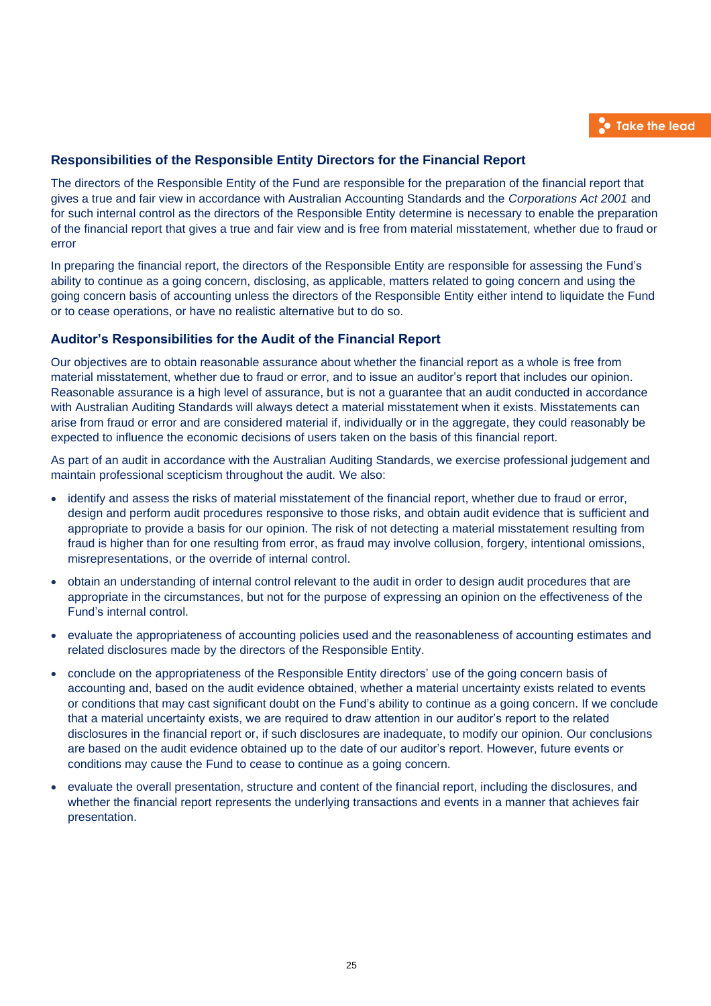## **Responsibilities of the Responsible Entity Directors for the Financial Report**

The directors of the Responsible Entity of the Fund are responsible for the preparation of the financial report that gives a true and fair view in accordance with Australian Accounting Standards and the *Corporations Act 2001* and for such internal control as the directors of the Responsible Entity determine is necessary to enable the preparation of the financial report that gives a true and fair view and is free from material misstatement, whether due to fraud or error

In preparing the financial report, the directors of the Responsible Entity are responsible for assessing the Fund's ability to continue as a going concern, disclosing, as applicable, matters related to going concern and using the going concern basis of accounting unless the directors of the Responsible Entity either intend to liquidate the Fund or to cease operations, or have no realistic alternative but to do so.

## **Auditor's Responsibilities for the Audit of the Financial Report**

Our objectives are to obtain reasonable assurance about whether the financial report as a whole is free from material misstatement, whether due to fraud or error, and to issue an auditor's report that includes our opinion. Reasonable assurance is a high level of assurance, but is not a guarantee that an audit conducted in accordance with Australian Auditing Standards will always detect a material misstatement when it exists. Misstatements can arise from fraud or error and are considered material if, individually or in the aggregate, they could reasonably be expected to influence the economic decisions of users taken on the basis of this financial report.

As part of an audit in accordance with the Australian Auditing Standards, we exercise professional judgement and maintain professional scepticism throughout the audit. We also:

- identify and assess the risks of material misstatement of the financial report, whether due to fraud or error, design and perform audit procedures responsive to those risks, and obtain audit evidence that is sufficient and appropriate to provide a basis for our opinion. The risk of not detecting a material misstatement resulting from fraud is higher than for one resulting from error, as fraud may involve collusion, forgery, intentional omissions, misrepresentations, or the override of internal control.
- obtain an understanding of internal control relevant to the audit in order to design audit procedures that are appropriate in the circumstances, but not for the purpose of expressing an opinion on the effectiveness of the Fund's internal control.
- evaluate the appropriateness of accounting policies used and the reasonableness of accounting estimates and related disclosures made by the directors of the Responsible Entity.
- conclude on the appropriateness of the Responsible Entity directors' use of the going concern basis of accounting and, based on the audit evidence obtained, whether a material uncertainty exists related to events or conditions that may cast significant doubt on the Fund's ability to continue as a going concern. If we conclude that a material uncertainty exists, we are required to draw attention in our auditor's report to the related disclosures in the financial report or, if such disclosures are inadequate, to modify our opinion. Our conclusions are based on the audit evidence obtained up to the date of our auditor's report. However, future events or conditions may cause the Fund to cease to continue as a going concern.
- evaluate the overall presentation, structure and content of the financial report, including the disclosures, and whether the financial report represents the underlying transactions and events in a manner that achieves fair presentation.